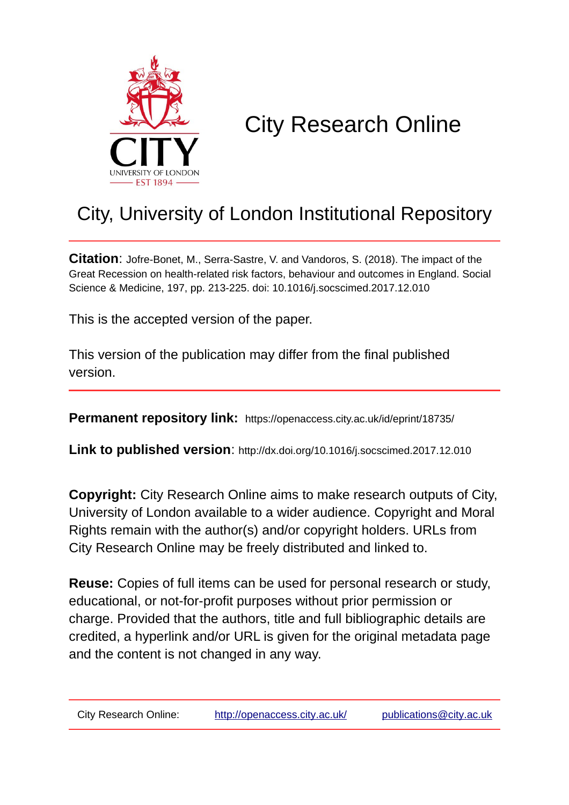

# City Research Online

# City, University of London Institutional Repository

**Citation**: Jofre-Bonet, M., Serra-Sastre, V. and Vandoros, S. (2018). The impact of the Great Recession on health-related risk factors, behaviour and outcomes in England. Social Science & Medicine, 197, pp. 213-225. doi: 10.1016/j.socscimed.2017.12.010

This is the accepted version of the paper.

This version of the publication may differ from the final published version.

**Permanent repository link:** https://openaccess.city.ac.uk/id/eprint/18735/

**Link to published version**: http://dx.doi.org/10.1016/j.socscimed.2017.12.010

**Copyright:** City Research Online aims to make research outputs of City, University of London available to a wider audience. Copyright and Moral Rights remain with the author(s) and/or copyright holders. URLs from City Research Online may be freely distributed and linked to.

**Reuse:** Copies of full items can be used for personal research or study, educational, or not-for-profit purposes without prior permission or charge. Provided that the authors, title and full bibliographic details are credited, a hyperlink and/or URL is given for the original metadata page and the content is not changed in any way.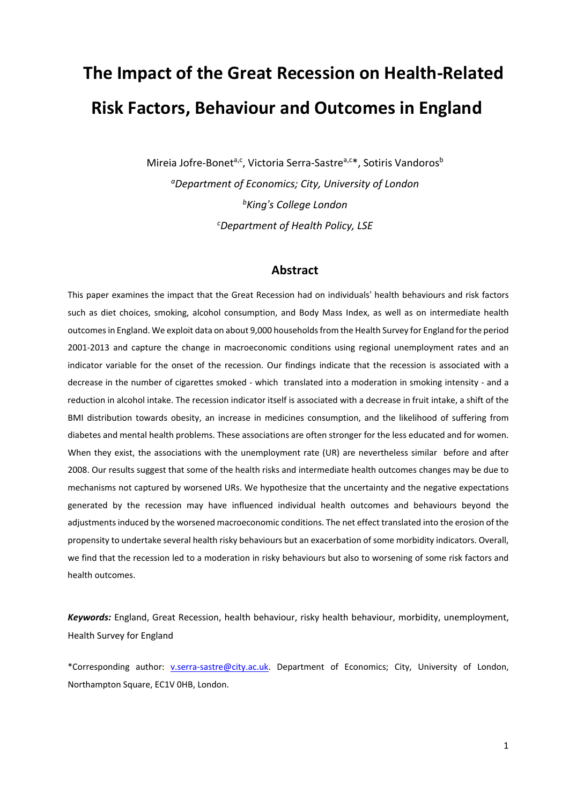# **The Impact of the Great Recession on Health-Related Risk Factors, Behaviour and Outcomes in England**

Mireia Jofre-Bonet<sup>a,c</sup>, Victoria Serra-Sastre<sup>a,c\*</sup>, Sotiris Vandoros<sup>b</sup> *aDepartment of Economics; City, University of London bKing's College London c Department of Health Policy, LSE*

# **Abstract**

This paper examines the impact that the Great Recession had on individuals' health behaviours and risk factors such as diet choices, smoking, alcohol consumption, and Body Mass Index, as well as on intermediate health outcomesin England. We exploit data on about 9,000 householdsfrom the Health Survey for England for the period 2001-2013 and capture the change in macroeconomic conditions using regional unemployment rates and an indicator variable for the onset of the recession. Our findings indicate that the recession is associated with a decrease in the number of cigarettes smoked - which translated into a moderation in smoking intensity - and a reduction in alcohol intake. The recession indicator itself is associated with a decrease in fruit intake, a shift of the BMI distribution towards obesity, an increase in medicines consumption, and the likelihood of suffering from diabetes and mental health problems. These associations are often stronger for the less educated and for women. When they exist, the associations with the unemployment rate (UR) are nevertheless similar before and after 2008. Our results suggest that some of the health risks and intermediate health outcomes changes may be due to mechanisms not captured by worsened URs. We hypothesize that the uncertainty and the negative expectations generated by the recession may have influenced individual health outcomes and behaviours beyond the adjustments induced by the worsened macroeconomic conditions. The net effect translated into the erosion of the propensity to undertake several health risky behaviours but an exacerbation of some morbidity indicators. Overall, we find that the recession led to a moderation in risky behaviours but also to worsening of some risk factors and health outcomes.

*Keywords:* England, Great Recession, health behaviour, risky health behaviour, morbidity, unemployment, Health Survey for England

\*Corresponding author: [v.serra-sastre@city.ac.uk.](mailto:v.serra-sastre@city.ac.uk) Department of Economics; City, University of London, Northampton Square, EC1V 0HB, London.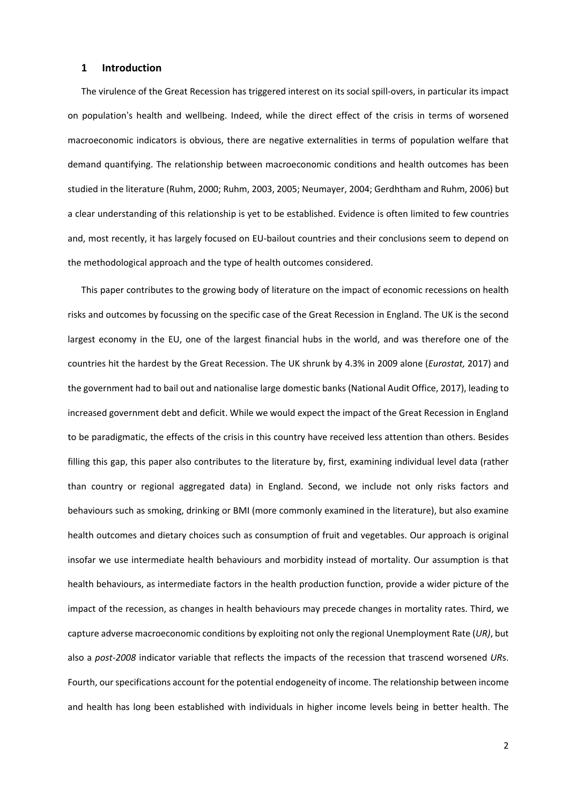### **1 Introduction**

The virulence of the Great Recession has triggered interest on its social spill-overs, in particular its impact on population's health and wellbeing. Indeed, while the direct effect of the crisis in terms of worsened macroeconomic indicators is obvious, there are negative externalities in terms of population welfare that demand quantifying. The relationship between macroeconomic conditions and health outcomes has been studied in the literature (Ruhm, 2000; Ruhm, 2003, 2005; Neumayer, 2004; Gerdhtham and Ruhm, 2006) but a clear understanding of this relationship is yet to be established. Evidence is often limited to few countries and, most recently, it has largely focused on EU-bailout countries and their conclusions seem to depend on the methodological approach and the type of health outcomes considered.

This paper contributes to the growing body of literature on the impact of economic recessions on health risks and outcomes by focussing on the specific case of the Great Recession in England. The UK is the second largest economy in the EU, one of the largest financial hubs in the world, and was therefore one of the countries hit the hardest by the Great Recession. The UK shrunk by 4.3% in 2009 alone (*Eurostat,* 2017) and the government had to bail out and nationalise large domestic banks (National Audit Office, 2017), leading to increased government debt and deficit. While we would expect the impact of the Great Recession in England to be paradigmatic, the effects of the crisis in this country have received less attention than others. Besides filling this gap, this paper also contributes to the literature by, first, examining individual level data (rather than country or regional aggregated data) in England. Second, we include not only risks factors and behaviours such as smoking, drinking or BMI (more commonly examined in the literature), but also examine health outcomes and dietary choices such as consumption of fruit and vegetables. Our approach is original insofar we use intermediate health behaviours and morbidity instead of mortality. Our assumption is that health behaviours, as intermediate factors in the health production function, provide a wider picture of the impact of the recession, as changes in health behaviours may precede changes in mortality rates. Third, we capture adverse macroeconomic conditions by exploiting not only the regional Unemployment Rate (*UR)*, but also a *post-2008* indicator variable that reflects the impacts of the recession that trascend worsened *UR*s. Fourth, our specifications account for the potential endogeneity of income. The relationship between income and health has long been established with individuals in higher income levels being in better health. The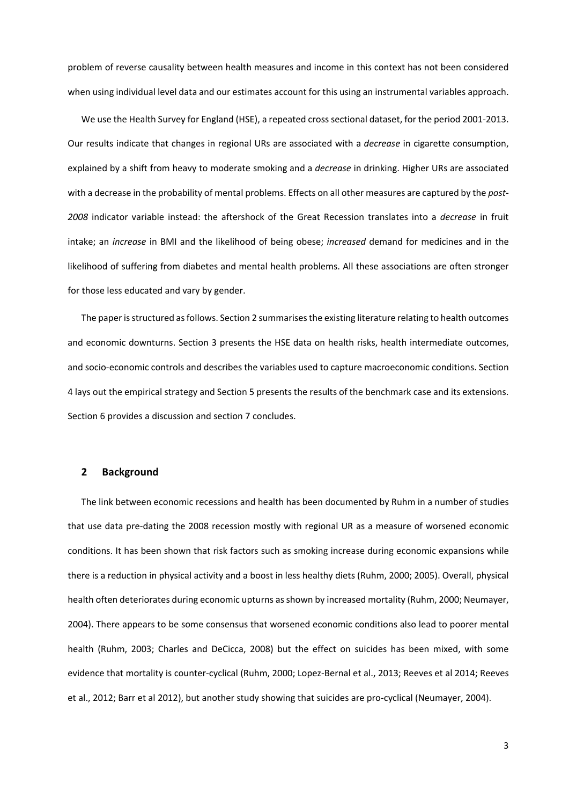problem of reverse causality between health measures and income in this context has not been considered when using individual level data and our estimates account for this using an instrumental variables approach.

We use the Health Survey for England (HSE), a repeated cross sectional dataset, for the period 2001-2013. Our results indicate that changes in regional URs are associated with a *decrease* in cigarette consumption, explained by a shift from heavy to moderate smoking and a *decrease* in drinking. Higher URs are associated with a decrease in the probability of mental problems. Effects on all other measures are captured by the *post-2008* indicator variable instead: the aftershock of the Great Recession translates into a *decrease* in fruit intake; an *increase* in BMI and the likelihood of being obese; *increased* demand for medicines and in the likelihood of suffering from diabetes and mental health problems. All these associations are often stronger for those less educated and vary by gender.

The paper is structured as follows. Section 2 summarises the existing literature relating to health outcomes and economic downturns. Section 3 presents the HSE data on health risks, health intermediate outcomes, and socio-economic controls and describes the variables used to capture macroeconomic conditions. Section 4 lays out the empirical strategy and Section 5 presents the results of the benchmark case and its extensions. Section 6 provides a discussion and section 7 concludes.

#### **2 Background**

The link between economic recessions and health has been documented by Ruhm in a number of studies that use data pre-dating the 2008 recession mostly with regional UR as a measure of worsened economic conditions. It has been shown that risk factors such as smoking increase during economic expansions while there is a reduction in physical activity and a boost in less healthy diets (Ruhm, 2000; 2005). Overall, physical health often deteriorates during economic upturns as shown by increased mortality (Ruhm, 2000; Neumayer, 2004). There appears to be some consensus that worsened economic conditions also lead to poorer mental health (Ruhm, 2003; Charles and DeCicca, 2008) but the effect on suicides has been mixed, with some evidence that mortality is counter-cyclical (Ruhm, 2000; Lopez-Bernal et al., 2013; Reeves et al 2014; Reeves et al., 2012; Barr et al 2012), but another study showing that suicides are pro-cyclical (Neumayer, 2004).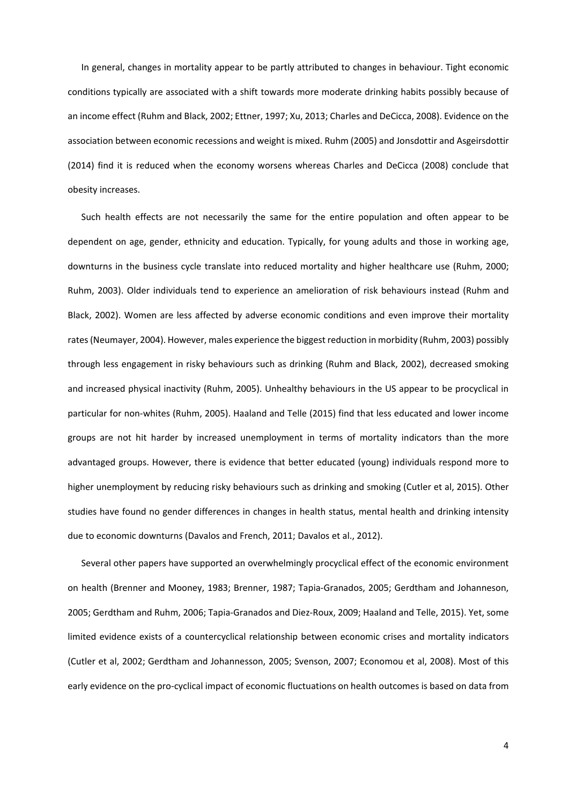In general, changes in mortality appear to be partly attributed to changes in behaviour. Tight economic conditions typically are associated with a shift towards more moderate drinking habits possibly because of an income effect (Ruhm and Black, 2002; Ettner, 1997; Xu, 2013; Charles and DeCicca, 2008). Evidence on the association between economic recessions and weight is mixed. Ruhm (2005) and Jonsdottir and Asgeirsdottir (2014) find it is reduced when the economy worsens whereas Charles and DeCicca (2008) conclude that obesity increases.

Such health effects are not necessarily the same for the entire population and often appear to be dependent on age, gender, ethnicity and education. Typically, for young adults and those in working age, downturns in the business cycle translate into reduced mortality and higher healthcare use (Ruhm, 2000; Ruhm, 2003). Older individuals tend to experience an amelioration of risk behaviours instead (Ruhm and Black, 2002). Women are less affected by adverse economic conditions and even improve their mortality rates(Neumayer, 2004). However, males experience the biggest reduction in morbidity (Ruhm, 2003) possibly through less engagement in risky behaviours such as drinking (Ruhm and Black, 2002), decreased smoking and increased physical inactivity (Ruhm, 2005). Unhealthy behaviours in the US appear to be procyclical in particular for non-whites (Ruhm, 2005). Haaland and Telle (2015) find that less educated and lower income groups are not hit harder by increased unemployment in terms of mortality indicators than the more advantaged groups. However, there is evidence that better educated (young) individuals respond more to higher unemployment by reducing risky behaviours such as drinking and smoking (Cutler et al, 2015). Other studies have found no gender differences in changes in health status, mental health and drinking intensity due to economic downturns (Davalos and French, 2011; Davalos et al., 2012).

Several other papers have supported an overwhelmingly procyclical effect of the economic environment on health (Brenner and Mooney, 1983; Brenner, 1987; Tapia-Granados, 2005; Gerdtham and Johanneson, 2005; Gerdtham and Ruhm, 2006; Tapia-Granados and Diez-Roux, 2009; Haaland and Telle, 2015). Yet, some limited evidence exists of a countercyclical relationship between economic crises and mortality indicators (Cutler et al, 2002; Gerdtham and Johannesson, 2005; Svenson, 2007; Economou et al, 2008). Most of this early evidence on the pro-cyclical impact of economic fluctuations on health outcomes is based on data from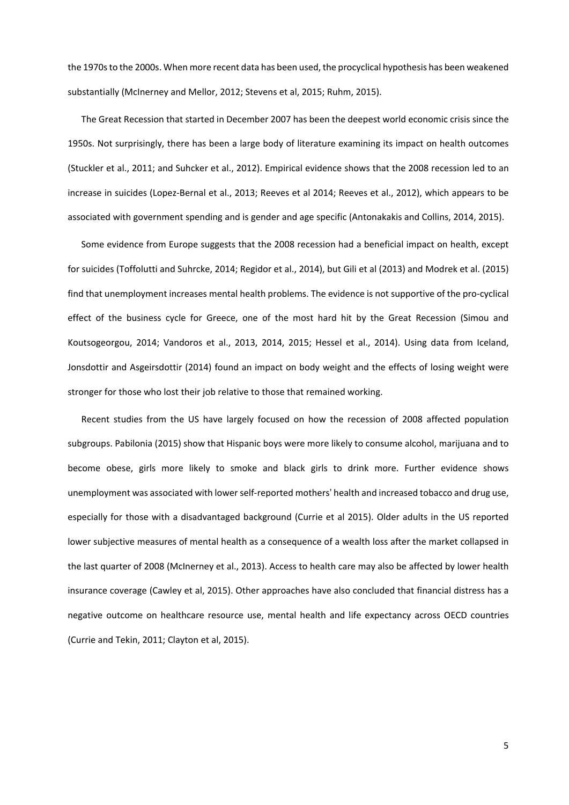the 1970s to the 2000s. When more recent data has been used, the procyclical hypothesis has been weakened substantially (McInerney and Mellor, 2012; Stevens et al, 2015; Ruhm, 2015).

The Great Recession that started in December 2007 has been the deepest world economic crisis since the 1950s. Not surprisingly, there has been a large body of literature examining its impact on health outcomes (Stuckler et al., 2011; and Suhcker et al., 2012). Empirical evidence shows that the 2008 recession led to an increase in suicides (Lopez-Bernal et al., 2013; Reeves et al 2014; Reeves et al., 2012), which appears to be associated with government spending and is gender and age specific (Antonakakis and Collins, 2014, 2015).

Some evidence from Europe suggests that the 2008 recession had a beneficial impact on health, except for suicides (Toffolutti and Suhrcke, 2014; Regidor et al., 2014), but Gili et al (2013) and Modrek et al. (2015) find that unemployment increases mental health problems. The evidence is not supportive of the pro-cyclical effect of the business cycle for Greece, one of the most hard hit by the Great Recession (Simou and Koutsogeorgou, 2014; Vandoros et al., 2013, 2014, 2015; Hessel et al., 2014). Using data from Iceland, Jonsdottir and Asgeirsdottir (2014) found an impact on body weight and the effects of losing weight were stronger for those who lost their job relative to those that remained working.

Recent studies from the US have largely focused on how the recession of 2008 affected population subgroups. Pabilonia (2015) show that Hispanic boys were more likely to consume alcohol, marijuana and to become obese, girls more likely to smoke and black girls to drink more. Further evidence shows unemployment was associated with lower self-reported mothers' health and increased tobacco and drug use, especially for those with a disadvantaged background (Currie et al 2015). Older adults in the US reported lower subjective measures of mental health as a consequence of a wealth loss after the market collapsed in the last quarter of 2008 (McInerney et al., 2013). Access to health care may also be affected by lower health insurance coverage (Cawley et al, 2015). Other approaches have also concluded that financial distress has a negative outcome on healthcare resource use, mental health and life expectancy across OECD countries (Currie and Tekin, 2011; Clayton et al, 2015).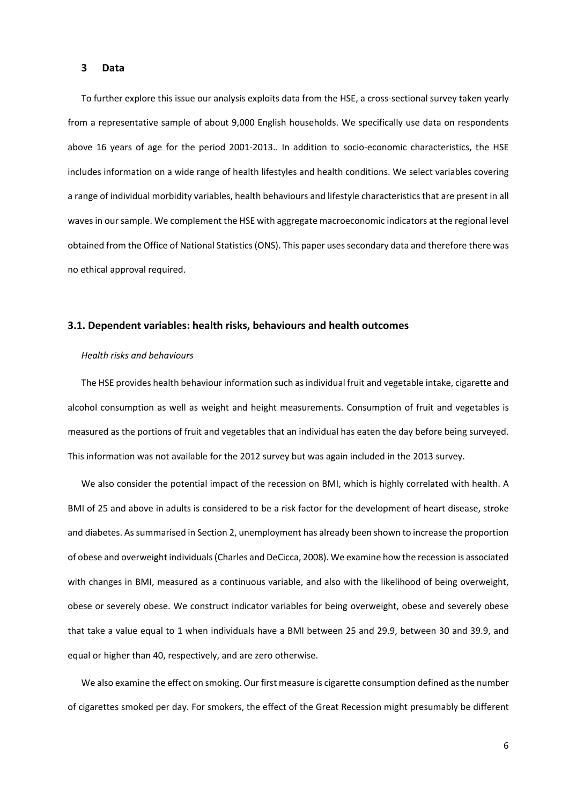#### **3 Data**

To further explore this issue our analysis exploits data from the HSE, a cross-sectional survey taken yearly from a representative sample of about 9,000 English households. We specifically use data on respondents above 16 years of age for the period 2001-2013.. In addition to socio-economic characteristics, the HSE includes information on a wide range of health lifestyles and health conditions. We select variables covering a range of individual morbidity variables, health behaviours and lifestyle characteristics that are present in all waves in our sample. We complement the HSE with aggregate macroeconomic indicators at the regional level obtained from the Office of National Statistics (ONS). This paper uses secondary data and therefore there was no ethical approval required.

#### **3.1. Dependent variables: health risks, behaviours and health outcomes**

#### *Health risks and behaviours*

The HSE provides health behaviour information such asindividual fruit and vegetable intake, cigarette and alcohol consumption as well as weight and height measurements. Consumption of fruit and vegetables is measured as the portions of fruit and vegetables that an individual has eaten the day before being surveyed. This information was not available for the 2012 survey but was again included in the 2013 survey.

We also consider the potential impact of the recession on BMI, which is highly correlated with health. A BMI of 25 and above in adults is considered to be a risk factor for the development of heart disease, stroke and diabetes. As summarised in Section 2, unemployment has already been shown to increase the proportion of obese and overweight individuals(Charles and DeCicca, 2008). We examine how the recession is associated with changes in BMI, measured as a continuous variable, and also with the likelihood of being overweight, obese or severely obese. We construct indicator variables for being overweight, obese and severely obese that take a value equal to 1 when individuals have a BMI between 25 and 29.9, between 30 and 39.9, and equal or higher than 40, respectively, and are zero otherwise.

We also examine the effect on smoking. Our first measure is cigarette consumption defined as the number of cigarettes smoked per day. For smokers, the effect of the Great Recession might presumably be different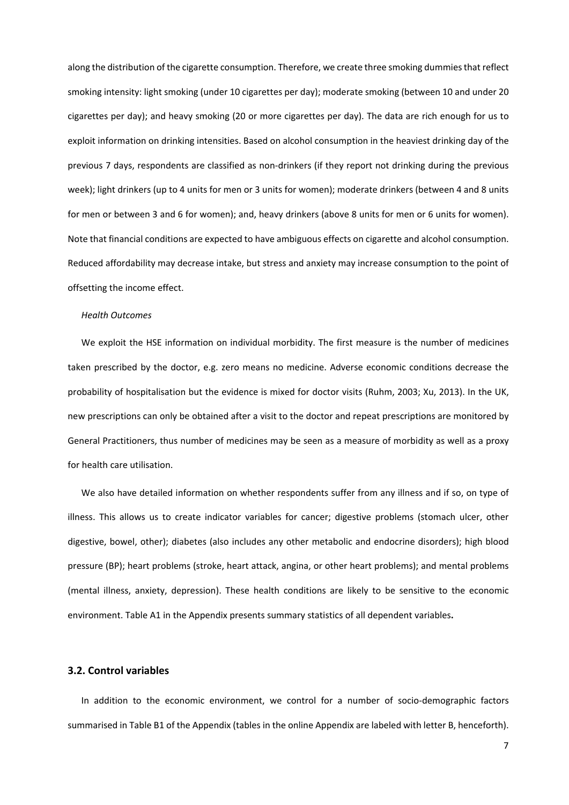along the distribution of the cigarette consumption. Therefore, we create three smoking dummies that reflect smoking intensity: light smoking (under 10 cigarettes per day); moderate smoking (between 10 and under 20 cigarettes per day); and heavy smoking (20 or more cigarettes per day). The data are rich enough for us to exploit information on drinking intensities. Based on alcohol consumption in the heaviest drinking day of the previous 7 days, respondents are classified as non-drinkers (if they report not drinking during the previous week); light drinkers (up to 4 units for men or 3 units for women); moderate drinkers (between 4 and 8 units for men or between 3 and 6 for women); and, heavy drinkers (above 8 units for men or 6 units for women). Note that financial conditions are expected to have ambiguous effects on cigarette and alcohol consumption. Reduced affordability may decrease intake, but stress and anxiety may increase consumption to the point of offsetting the income effect.

#### *Health Outcomes*

We exploit the HSE information on individual morbidity. The first measure is the number of medicines taken prescribed by the doctor, e.g. zero means no medicine. Adverse economic conditions decrease the probability of hospitalisation but the evidence is mixed for doctor visits (Ruhm, 2003; Xu, 2013). In the UK, new prescriptions can only be obtained after a visit to the doctor and repeat prescriptions are monitored by General Practitioners, thus number of medicines may be seen as a measure of morbidity as well as a proxy for health care utilisation.

We also have detailed information on whether respondents suffer from any illness and if so, on type of illness. This allows us to create indicator variables for cancer; digestive problems (stomach ulcer, other digestive, bowel, other); diabetes (also includes any other metabolic and endocrine disorders); high blood pressure (BP); heart problems (stroke, heart attack, angina, or other heart problems); and mental problems (mental illness, anxiety, depression). These health conditions are likely to be sensitive to the economic environment. Table A1 in the Appendix presents summary statistics of all dependent variables**.**

#### **3.2. Control variables**

In addition to the economic environment, we control for a number of socio-demographic factors summarised in Table B1 of the Appendix (tables in the online Appendix are labeled with letter B, henceforth).

7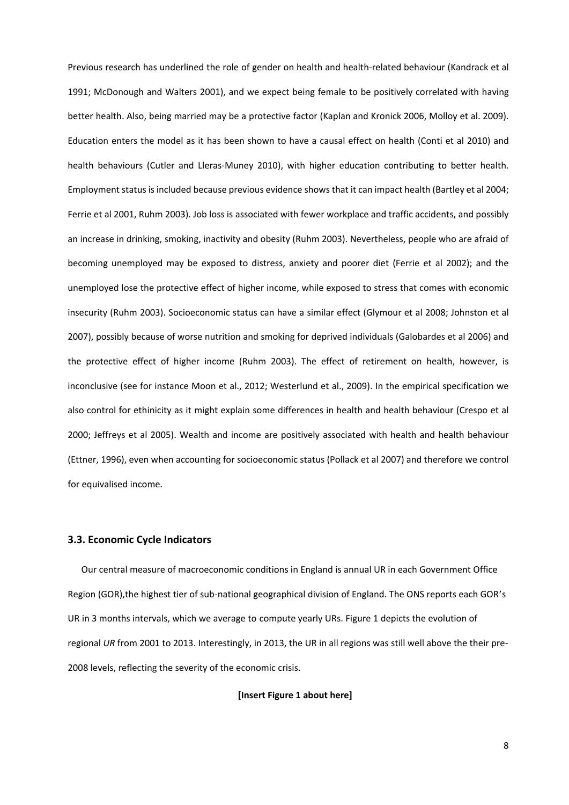Previous research has underlined the role of gender on health and health-related behaviour (Kandrack et al 1991; McDonough and Walters 2001), and we expect being female to be positively correlated with having better health. Also, being married may be a protective factor (Kaplan and Kronick 2006, Molloy et al. 2009). Education enters the model as it has been shown to have a causal effect on health (Conti et al 2010) and health behaviours (Cutler and Lleras-Muney 2010), with higher education contributing to better health. Employment status is included because previous evidence shows that it can impact health (Bartley et al 2004; Ferrie et al 2001, Ruhm 2003). Job loss is associated with fewer workplace and traffic accidents, and possibly an increase in drinking, smoking, inactivity and obesity (Ruhm 2003). Nevertheless, people who are afraid of becoming unemployed may be exposed to distress, anxiety and poorer diet (Ferrie et al 2002); and the unemployed lose the protective effect of higher income, while exposed to stress that comes with economic insecurity (Ruhm 2003). Socioeconomic status can have a similar effect (Glymour et al 2008; Johnston et al 2007), possibly because of worse nutrition and smoking for deprived individuals (Galobardes et al 2006) and the protective effect of higher income (Ruhm 2003). The effect of retirement on health, however, is inconclusive (see for instance Moon et al., 2012; Westerlund et al., 2009). In the empirical specification we also control for ethinicity as it might explain some differences in health and health behaviour (Crespo et al 2000; Jeffreys et al 2005). Wealth and income are positively associated with health and health behaviour (Ettner, 1996), even when accounting for socioeconomic status (Pollack et al 2007) and therefore we control for equivalised income*.*

# **3.3. Economic Cycle Indicators**

Our central measure of macroeconomic conditions in England is annual UR in each Government Office Region (GOR),the highest tier of sub-national geographical division of England. The ONS reports each GOR's UR in 3 months intervals, which we average to compute yearly URs. Figure 1 depicts the evolution of regional *UR* from 2001 to 2013. Interestingly, in 2013, the UR in all regions was still well above the their pre-2008 levels, reflecting the severity of the economic crisis.

**[Insert Figure 1 about here]**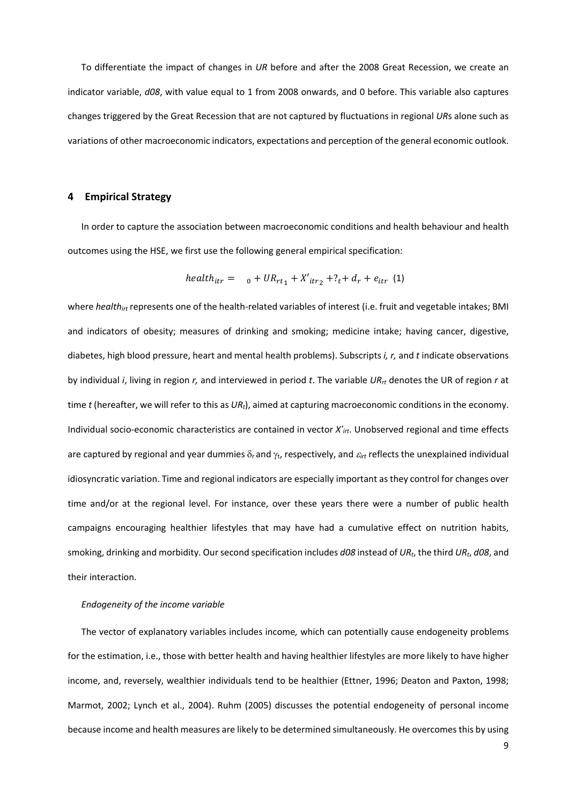To differentiate the impact of changes in *UR* before and after the 2008 Great Recession, we create an indicator variable, *d08*, with value equal to 1 from 2008 onwards, and 0 before. This variable also captures changes triggered by the Great Recession that are not captured by fluctuations in regional *UR*s alone such as variations of other macroeconomic indicators, expectations and perception of the general economic outlook.

# **4 Empirical Strategy**

In order to capture the association between macroeconomic conditions and health behaviour and health outcomes using the HSE, we first use the following general empirical specification:

$$
health_{itr} = \quad_0 + UR_{rt_1} + X'_{itr_2} + ?_t + d_r + e_{itr} \quad (1)
$$

where *health<sub>irt</sub>* represents one of the health-related variables of interest (i.e. fruit and vegetable intakes; BMI and indicators of obesity; measures of drinking and smoking; medicine intake; having cancer, digestive, diabetes, high blood pressure, heart and mental health problems). Subscripts *i, r,* and *t* indicate observations by individual *i*, living in region *r,* and interviewed in period *t*. The variable *URrt* denotes the UR of region *r* at time *t* (hereafter, we will refer to this as *URt*), aimed at capturing macroeconomic conditions in the economy. Individual socio-economic characteristics are contained in vector *X'irt*. Unobserved regional and time effects are captured by regional and year dummies δ<sub>r</sub> and γ<sub>t</sub>, respectively, and  $\varepsilon_{irt}$  reflects the unexplained individual idiosyncratic variation. Time and regional indicators are especially important as they control for changes over time and/or at the regional level. For instance, over these years there were a number of public health campaigns encouraging healthier lifestyles that may have had a cumulative effect on nutrition habits, smoking, drinking and morbidity. Our second specification includes *d08* instead of *URt*, the third *URt*, *d08*, and their interaction.

#### *Endogeneity of the income variable*

The vector of explanatory variables includes income*,* which can potentially cause endogeneity problems for the estimation, i.e., those with better health and having healthier lifestyles are more likely to have higher income, and, reversely, wealthier individuals tend to be healthier (Ettner, 1996; Deaton and Paxton, 1998; Marmot, 2002; Lynch et al., 2004). Ruhm (2005) discusses the potential endogeneity of personal income because income and health measures are likely to be determined simultaneously. He overcomes this by using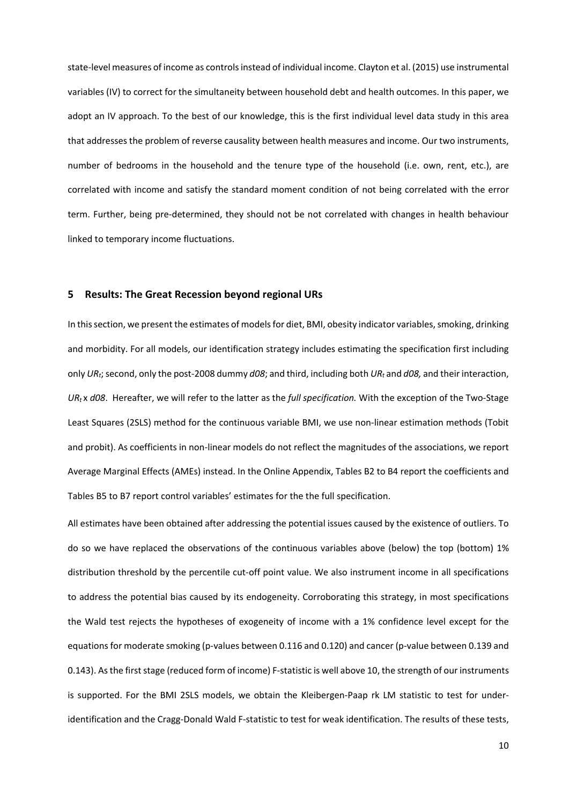state-level measures of income as controls instead of individual income. Clayton et al. (2015) use instrumental variables (IV) to correct for the simultaneity between household debt and health outcomes. In this paper, we adopt an IV approach. To the best of our knowledge, this is the first individual level data study in this area that addresses the problem of reverse causality between health measures and income. Our two instruments, number of bedrooms in the household and the tenure type of the household (i.e. own, rent, etc.), are correlated with income and satisfy the standard moment condition of not being correlated with the error term. Further, being pre-determined, they should not be not correlated with changes in health behaviour linked to temporary income fluctuations.

#### **5 Results: The Great Recession beyond regional URs**

In this section, we present the estimates of models for diet, BMI, obesity indicator variables, smoking, drinking and morbidity. For all models, our identification strategy includes estimating the specification first including only *URt*;second, only the post-2008 dummy *d08*; and third, including both *URt* and *d08,* and their interaction, *URt* x *d08*. Hereafter, we will refer to the latter as the *full specification.* With the exception of the Two-Stage Least Squares (2SLS) method for the continuous variable BMI, we use non-linear estimation methods (Tobit and probit). As coefficients in non-linear models do not reflect the magnitudes of the associations, we report Average Marginal Effects (AMEs) instead. In the Online Appendix, Tables B2 to B4 report the coefficients and Tables B5 to B7 report control variables' estimates for the the full specification.

All estimates have been obtained after addressing the potential issues caused by the existence of outliers. To do so we have replaced the observations of the continuous variables above (below) the top (bottom) 1% distribution threshold by the percentile cut-off point value. We also instrument income in all specifications to address the potential bias caused by its endogeneity. Corroborating this strategy, in most specifications the Wald test rejects the hypotheses of exogeneity of income with a 1% confidence level except for the equations for moderate smoking (p-values between 0.116 and 0.120) and cancer (p-value between 0.139 and 0.143). As the first stage (reduced form of income) F-statistic is well above 10, the strength of our instruments is supported. For the BMI 2SLS models, we obtain the Kleibergen-Paap rk LM statistic to test for underidentification and the Cragg-Donald Wald F-statistic to test for weak identification. The results of these tests,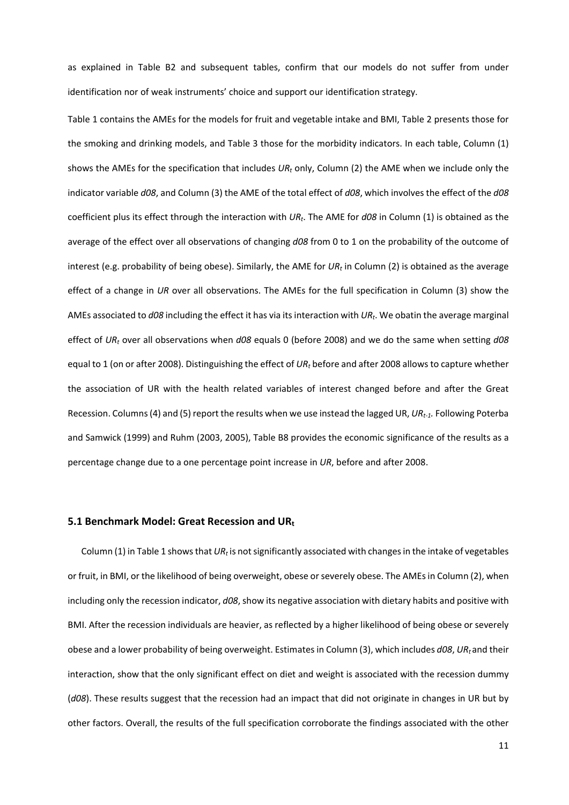as explained in Table B2 and subsequent tables, confirm that our models do not suffer from under identification nor of weak instruments' choice and support our identification strategy.

Table 1 contains the AMEs for the models for fruit and vegetable intake and BMI, Table 2 presents those for the smoking and drinking models, and Table 3 those for the morbidity indicators. In each table, Column (1) shows the AMEs for the specification that includes *URt* only, Column (2) the AME when we include only the indicator variable *d08*, and Column (3) the AME of the total effect of *d08*, which involves the effect of the *d08* coefficient plus its effect through the interaction with *URt*. The AME for *d08* in Column (1) is obtained as the average of the effect over all observations of changing *d08* from 0 to 1 on the probability of the outcome of interest (e.g. probability of being obese). Similarly, the AME for *URt* in Column (2) is obtained as the average effect of a change in *UR* over all observations. The AMEs for the full specification in Column (3) show the AMEs associated to *d08* including the effect it has via itsinteraction with *URt*. We obatin the average marginal effect of *URt* over all observations when *d08* equals 0 (before 2008) and we do the same when setting *d08* equal to 1 (on or after 2008). Distinguishing the effect of *URt* before and after 2008 allows to capture whether the association of UR with the health related variables of interest changed before and after the Great Recession. Columns (4) and (5) report the results when we use instead the lagged UR, *URt-1.* Following Poterba and Samwick (1999) and Ruhm (2003, 2005), Table B8 provides the economic significance of the results as a percentage change due to a one percentage point increase in *UR*, before and after 2008.

## **5.1 Benchmark Model: Great Recession and URt**

Column (1) in Table 1 shows that *URt* is not significantly associated with changes in the intake of vegetables or fruit, in BMI, or the likelihood of being overweight, obese or severely obese. The AMEsin Column (2), when including only the recession indicator, *d08*, show its negative association with dietary habits and positive with BMI. After the recession individuals are heavier, as reflected by a higher likelihood of being obese or severely obese and a lower probability of being overweight. Estimates in Column (3), which includes *d08*, *URt* and their interaction, show that the only significant effect on diet and weight is associated with the recession dummy (*d08*). These results suggest that the recession had an impact that did not originate in changes in UR but by other factors. Overall, the results of the full specification corroborate the findings associated with the other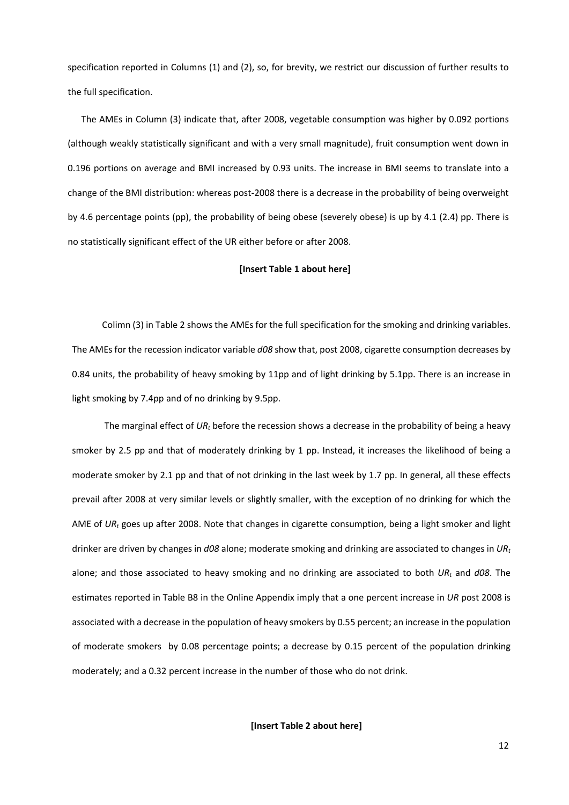specification reported in Columns (1) and (2), so, for brevity, we restrict our discussion of further results to the full specification.

The AMEs in Column (3) indicate that, after 2008, vegetable consumption was higher by 0.092 portions (although weakly statistically significant and with a very small magnitude), fruit consumption went down in 0.196 portions on average and BMI increased by 0.93 units. The increase in BMI seems to translate into a change of the BMI distribution: whereas post-2008 there is a decrease in the probability of being overweight by 4.6 percentage points (pp), the probability of being obese (severely obese) is up by 4.1 (2.4) pp. There is no statistically significant effect of the UR either before or after 2008.

### **[Insert Table 1 about here]**

Colimn (3) in Table 2 shows the AMEs for the full specification for the smoking and drinking variables. The AMEs for the recession indicator variable *d08* show that, post 2008, cigarette consumption decreases by 0.84 units, the probability of heavy smoking by 11pp and of light drinking by 5.1pp. There is an increase in light smoking by 7.4pp and of no drinking by 9.5pp.

The marginal effect of *URt* before the recession shows a decrease in the probability of being a heavy smoker by 2.5 pp and that of moderately drinking by 1 pp. Instead, it increases the likelihood of being a moderate smoker by 2.1 pp and that of not drinking in the last week by 1.7 pp. In general, all these effects prevail after 2008 at very similar levels or slightly smaller, with the exception of no drinking for which the AME of *URt* goes up after 2008. Note that changes in cigarette consumption, being a light smoker and light drinker are driven by changes in *d08* alone; moderate smoking and drinking are associated to changes in *URt* alone; and those associated to heavy smoking and no drinking are associated to both *URt* and *d08*. The estimates reported in Table B8 in the Online Appendix imply that a one percent increase in *UR* post 2008 is associated with a decrease in the population of heavy smokers by 0.55 percent; an increase in the population of moderate smokers by 0.08 percentage points; a decrease by 0.15 percent of the population drinking moderately; and a 0.32 percent increase in the number of those who do not drink.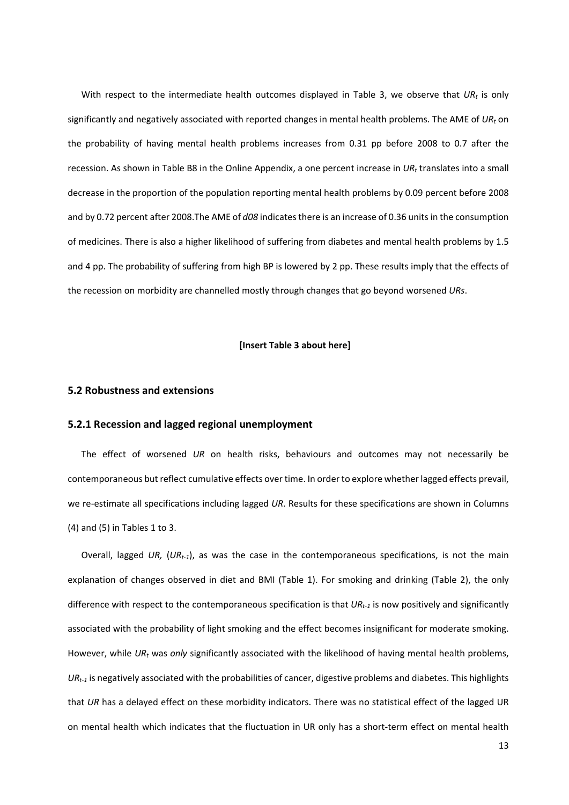With respect to the intermediate health outcomes displayed in Table 3, we observe that UR<sub>t</sub> is only significantly and negatively associated with reported changes in mental health problems. The AME of *URt* on the probability of having mental health problems increases from 0.31 pp before 2008 to 0.7 after the recession. As shown in Table B8 in the Online Appendix, a one percent increase in *URt* translates into a small decrease in the proportion of the population reporting mental health problems by 0.09 percent before 2008 and by 0.72 percent after 2008.The AME of *d08* indicates there is an increase of 0.36 units in the consumption of medicines. There is also a higher likelihood of suffering from diabetes and mental health problems by 1.5 and 4 pp. The probability of suffering from high BP is lowered by 2 pp. These results imply that the effects of the recession on morbidity are channelled mostly through changes that go beyond worsened *URs*.

#### **[Insert Table 3 about here]**

#### **5.2 Robustness and extensions**

## **5.2.1 Recession and lagged regional unemployment**

The effect of worsened *UR* on health risks, behaviours and outcomes may not necessarily be contemporaneous but reflect cumulative effects over time. In order to explore whether lagged effects prevail, we re-estimate all specifications including lagged *UR*. Results for these specifications are shown in Columns (4) and (5) in Tables 1 to 3.

Overall, lagged *UR,* (*URt-1*), as was the case in the contemporaneous specifications, is not the main explanation of changes observed in diet and BMI (Table 1). For smoking and drinking (Table 2), the only difference with respect to the contemporaneous specification is that *URt-1* is now positively and significantly associated with the probability of light smoking and the effect becomes insignificant for moderate smoking. However, while *URt* was *only* significantly associated with the likelihood of having mental health problems, *URt-1* is negatively associated with the probabilities of cancer, digestive problems and diabetes. This highlights that *UR* has a delayed effect on these morbidity indicators. There was no statistical effect of the lagged UR on mental health which indicates that the fluctuation in UR only has a short-term effect on mental health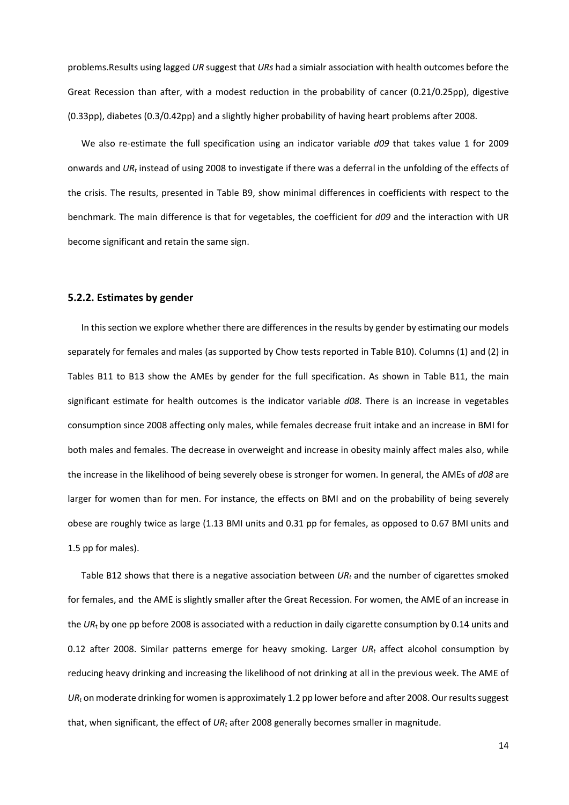problems.Results using lagged *UR* suggest that *URs* had a simialr association with health outcomes before the Great Recession than after, with a modest reduction in the probability of cancer (0.21/0.25pp), digestive (0.33pp), diabetes (0.3/0.42pp) and a slightly higher probability of having heart problems after 2008.

We also re-estimate the full specification using an indicator variable *d09* that takes value 1 for 2009 onwards and *URt* instead of using 2008 to investigate if there was a deferral in the unfolding of the effects of the crisis. The results, presented in Table B9, show minimal differences in coefficients with respect to the benchmark. The main difference is that for vegetables, the coefficient for *d09* and the interaction with UR become significant and retain the same sign.

#### **5.2.2. Estimates by gender**

In this section we explore whether there are differences in the results by gender by estimating our models separately for females and males (as supported by Chow tests reported in Table B10). Columns (1) and (2) in Tables B11 to B13 show the AMEs by gender for the full specification. As shown in Table B11, the main significant estimate for health outcomes is the indicator variable *d08*. There is an increase in vegetables consumption since 2008 affecting only males, while females decrease fruit intake and an increase in BMI for both males and females. The decrease in overweight and increase in obesity mainly affect males also, while the increase in the likelihood of being severely obese is stronger for women. In general, the AMEs of *d08* are larger for women than for men. For instance, the effects on BMI and on the probability of being severely obese are roughly twice as large (1.13 BMI units and 0.31 pp for females, as opposed to 0.67 BMI units and 1.5 pp for males).

Table B12 shows that there is a negative association between *URt* and the number of cigarettes smoked for females, and the AME is slightly smaller after the Great Recession. For women, the AME of an increase in the *UR*<sup>t</sup> by one pp before 2008 is associated with a reduction in daily cigarette consumption by 0.14 units and 0.12 after 2008. Similar patterns emerge for heavy smoking. Larger *URt* affect alcohol consumption by reducing heavy drinking and increasing the likelihood of not drinking at all in the previous week. The AME of *URt* on moderate drinking for women is approximately 1.2 pp lower before and after 2008. Our results suggest that, when significant, the effect of *URt* after 2008 generally becomes smaller in magnitude.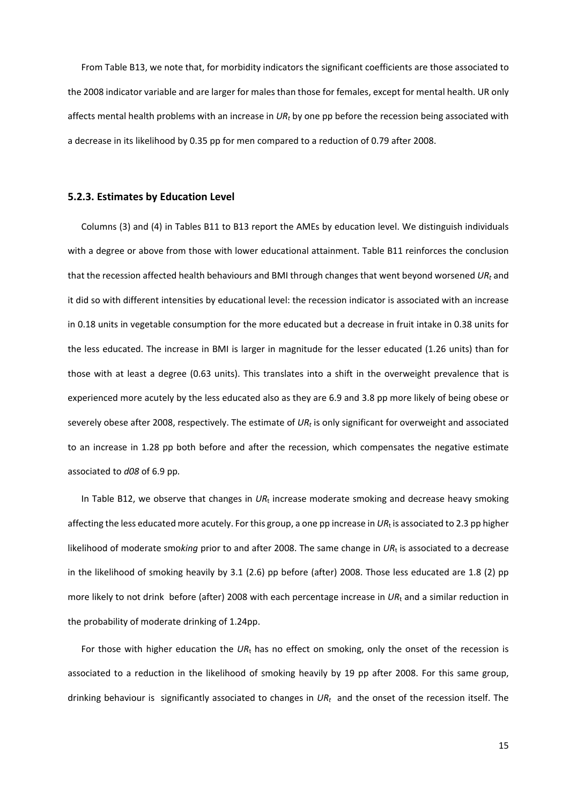From Table B13, we note that, for morbidity indicators the significant coefficients are those associated to the 2008 indicator variable and are larger for males than those for females, except for mental health. UR only affects mental health problems with an increase in *URt* by one pp before the recession being associated with a decrease in its likelihood by 0.35 pp for men compared to a reduction of 0.79 after 2008.

### **5.2.3. Estimates by Education Level**

Columns (3) and (4) in Tables B11 to B13 report the AMEs by education level. We distinguish individuals with a degree or above from those with lower educational attainment. Table B11 reinforces the conclusion that the recession affected health behaviours and BMI through changes that went beyond worsened *URt* and it did so with different intensities by educational level: the recession indicator is associated with an increase in 0.18 units in vegetable consumption for the more educated but a decrease in fruit intake in 0.38 units for the less educated. The increase in BMI is larger in magnitude for the lesser educated (1.26 units) than for those with at least a degree (0.63 units). This translates into a shift in the overweight prevalence that is experienced more acutely by the less educated also as they are 6.9 and 3.8 pp more likely of being obese or severely obese after 2008, respectively. The estimate of *URt* is only significant for overweight and associated to an increase in 1.28 pp both before and after the recession, which compensates the negative estimate associated to *d08* of 6.9 pp*.*

In Table B12, we observe that changes in UR<sub>t</sub> increase moderate smoking and decrease heavy smoking affecting the less educated more acutely. For this group, a one pp increase in *UR*<sup>t</sup> is associated to 2.3 pp higher likelihood of moderate smo*king* prior to and after 2008. The same change in *UR*<sup>t</sup> is associated to a decrease in the likelihood of smoking heavily by 3.1 (2.6) pp before (after) 2008. Those less educated are 1.8 (2) pp more likely to not drink before (after) 2008 with each percentage increase in *UR*<sup>t</sup> and a similar reduction in the probability of moderate drinking of 1.24pp.

For those with higher education the *UR*<sup>t</sup> has no effect on smoking, only the onset of the recession is associated to a reduction in the likelihood of smoking heavily by 19 pp after 2008. For this same group, drinking behaviour is significantly associated to changes in *URt* and the onset of the recession itself. The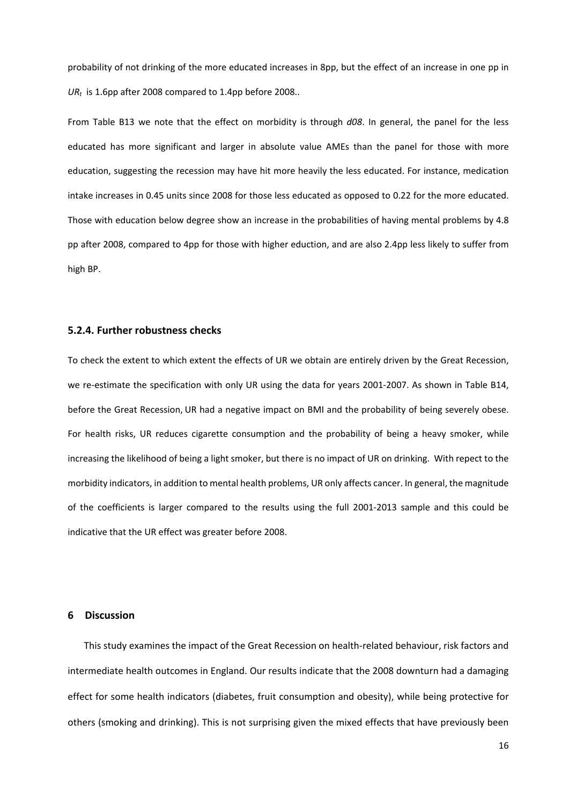probability of not drinking of the more educated increases in 8pp, but the effect of an increase in one pp in *URt* is 1.6pp after 2008 compared to 1.4pp before 2008..

From Table B13 we note that the effect on morbidity is through *d08*. In general, the panel for the less educated has more significant and larger in absolute value AMEs than the panel for those with more education, suggesting the recession may have hit more heavily the less educated. For instance, medication intake increases in 0.45 units since 2008 for those less educated as opposed to 0.22 for the more educated. Those with education below degree show an increase in the probabilities of having mental problems by 4.8 pp after 2008, compared to 4pp for those with higher eduction, and are also 2.4pp less likely to suffer from high BP.

# **5.2.4. Further robustness checks**

To check the extent to which extent the effects of UR we obtain are entirely driven by the Great Recession, we re-estimate the specification with only UR using the data for years 2001-2007. As shown in Table B14, before the Great Recession, UR had a negative impact on BMI and the probability of being severely obese. For health risks, UR reduces cigarette consumption and the probability of being a heavy smoker, while increasing the likelihood of being a light smoker, but there is no impact of UR on drinking. With repect to the morbidity indicators, in addition to mental health problems, UR only affects cancer. In general, the magnitude of the coefficients is larger compared to the results using the full 2001-2013 sample and this could be indicative that the UR effect was greater before 2008.

#### **6 Discussion**

This study examines the impact of the Great Recession on health-related behaviour, risk factors and intermediate health outcomes in England. Our results indicate that the 2008 downturn had a damaging effect for some health indicators (diabetes, fruit consumption and obesity), while being protective for others (smoking and drinking). This is not surprising given the mixed effects that have previously been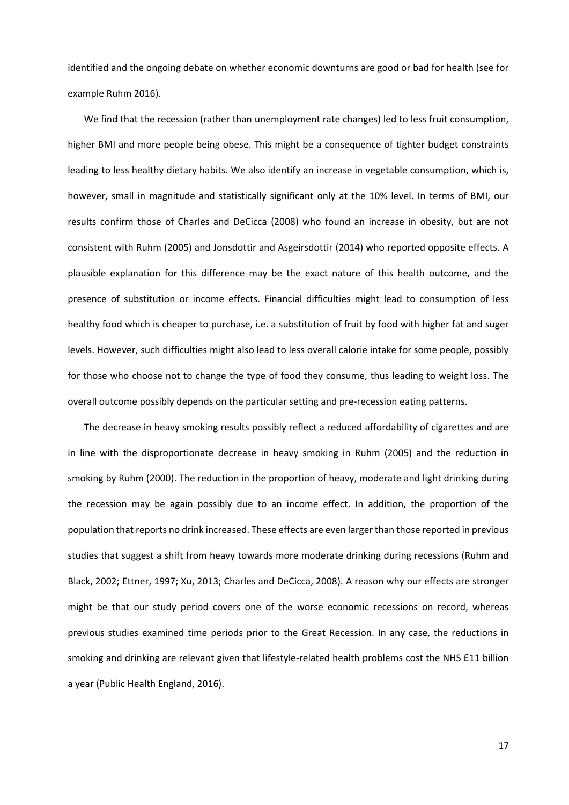identified and the ongoing debate on whether economic downturns are good or bad for health (see for example Ruhm 2016).

We find that the recession (rather than unemployment rate changes) led to less fruit consumption, higher BMI and more people being obese. This might be a consequence of tighter budget constraints leading to less healthy dietary habits. We also identify an increase in vegetable consumption, which is, however, small in magnitude and statistically significant only at the 10% level. In terms of BMI, our results confirm those of Charles and DeCicca (2008) who found an increase in obesity, but are not consistent with Ruhm (2005) and Jonsdottir and Asgeirsdottir (2014) who reported opposite effects. A plausible explanation for this difference may be the exact nature of this health outcome, and the presence of substitution or income effects. Financial difficulties might lead to consumption of less healthy food which is cheaper to purchase, i.e. a substitution of fruit by food with higher fat and suger levels. However, such difficulties might also lead to less overall calorie intake for some people, possibly for those who choose not to change the type of food they consume, thus leading to weight loss. The overall outcome possibly depends on the particular setting and pre-recession eating patterns.

The decrease in heavy smoking results possibly reflect a reduced affordability of cigarettes and are in line with the disproportionate decrease in heavy smoking in Ruhm (2005) and the reduction in smoking by Ruhm (2000). The reduction in the proportion of heavy, moderate and light drinking during the recession may be again possibly due to an income effect. In addition, the proportion of the population that reports no drink increased. These effects are even larger than those reported in previous studies that suggest a shift from heavy towards more moderate drinking during recessions (Ruhm and Black, 2002; Ettner, 1997; Xu, 2013; Charles and DeCicca, 2008). A reason why our effects are stronger might be that our study period covers one of the worse economic recessions on record, whereas previous studies examined time periods prior to the Great Recession. In any case, the reductions in smoking and drinking are relevant given that lifestyle-related health problems cost the NHS £11 billion a year (Public Health England, 2016).

17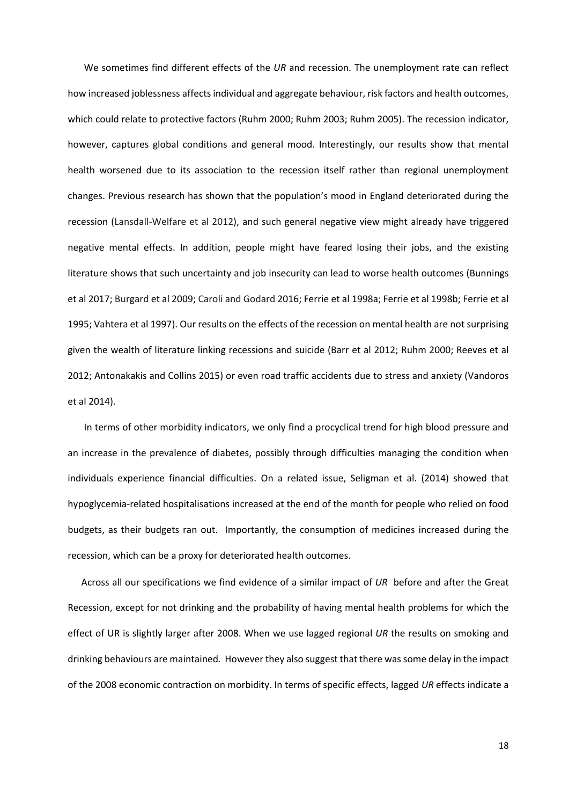We sometimes find different effects of the *UR* and recession. The unemployment rate can reflect how increased joblessness affects individual and aggregate behaviour, risk factors and health outcomes, which could relate to protective factors (Ruhm 2000; Ruhm 2003; Ruhm 2005). The recession indicator, however, captures global conditions and general mood. Interestingly, our results show that mental health worsened due to its association to the recession itself rather than regional unemployment changes. Previous research has shown that the population's mood in England deteriorated during the recession (Lansdall-Welfare et al 2012), and such general negative view might already have triggered negative mental effects. In addition, people might have feared losing their jobs, and the existing literature shows that such uncertainty and job insecurity can lead to worse health outcomes (Bunnings et al 2017; Burgard et al 2009; Caroli and Godard 2016; Ferrie et al 1998a; Ferrie et al 1998b; Ferrie et al 1995; Vahtera et al 1997). Our results on the effects of the recession on mental health are not surprising given the wealth of literature linking recessions and suicide (Barr et al 2012; Ruhm 2000; Reeves et al 2012; Antonakakis and Collins 2015) or even road traffic accidents due to stress and anxiety (Vandoros et al 2014).

In terms of other morbidity indicators, we only find a procyclical trend for high blood pressure and an increase in the prevalence of diabetes, possibly through difficulties managing the condition when individuals experience financial difficulties. On a related issue, Seligman et al. (2014) showed that hypoglycemia-related hospitalisations increased at the end of the month for people who relied on food budgets, as their budgets ran out. Importantly, the consumption of medicines increased during the recession, which can be a proxy for deteriorated health outcomes.

Across all our specifications we find evidence of a similar impact of *UR* before and after the Great Recession, except for not drinking and the probability of having mental health problems for which the effect of UR is slightly larger after 2008. When we use lagged regional *UR* the results on smoking and drinking behaviours are maintained*.* However they also suggest that there was some delay in the impact of the 2008 economic contraction on morbidity. In terms of specific effects, lagged *UR* effects indicate a

18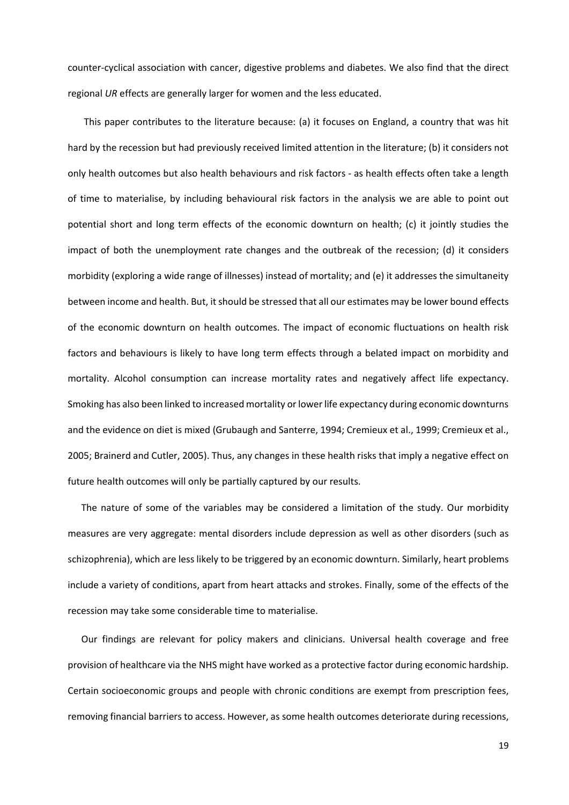counter-cyclical association with cancer, digestive problems and diabetes. We also find that the direct regional *UR* effects are generally larger for women and the less educated.

This paper contributes to the literature because: (a) it focuses on England, a country that was hit hard by the recession but had previously received limited attention in the literature; (b) it considers not only health outcomes but also health behaviours and risk factors - as health effects often take a length of time to materialise, by including behavioural risk factors in the analysis we are able to point out potential short and long term effects of the economic downturn on health; (c) it jointly studies the impact of both the unemployment rate changes and the outbreak of the recession; (d) it considers morbidity (exploring a wide range of illnesses) instead of mortality; and (e) it addresses the simultaneity between income and health. But, it should be stressed that all our estimates may be lower bound effects of the economic downturn on health outcomes. The impact of economic fluctuations on health risk factors and behaviours is likely to have long term effects through a belated impact on morbidity and mortality. Alcohol consumption can increase mortality rates and negatively affect life expectancy. Smoking has also been linked to increased mortality or lower life expectancy during economic downturns and the evidence on diet is mixed (Grubaugh and Santerre, 1994; Cremieux et al., 1999; Cremieux et al., 2005; Brainerd and Cutler, 2005). Thus, any changes in these health risks that imply a negative effect on future health outcomes will only be partially captured by our results.

The nature of some of the variables may be considered a limitation of the study. Our morbidity measures are very aggregate: mental disorders include depression as well as other disorders (such as schizophrenia), which are less likely to be triggered by an economic downturn. Similarly, heart problems include a variety of conditions, apart from heart attacks and strokes. Finally, some of the effects of the recession may take some considerable time to materialise.

Our findings are relevant for policy makers and clinicians. Universal health coverage and free provision of healthcare via the NHS might have worked as a protective factor during economic hardship. Certain socioeconomic groups and people with chronic conditions are exempt from prescription fees, removing financial barriers to access. However, as some health outcomes deteriorate during recessions,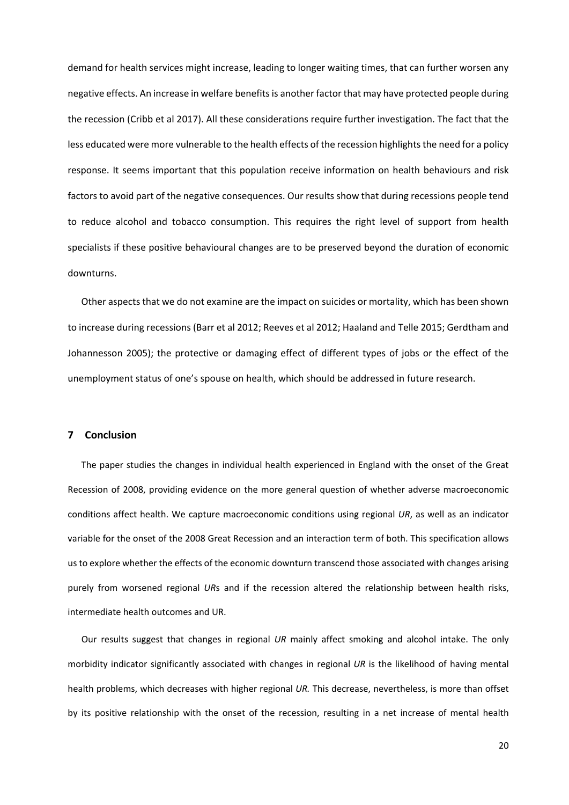demand for health services might increase, leading to longer waiting times, that can further worsen any negative effects. An increase in welfare benefits is another factor that may have protected people during the recession (Cribb et al 2017). All these considerations require further investigation. The fact that the less educated were more vulnerable to the health effects of the recession highlights the need for a policy response. It seems important that this population receive information on health behaviours and risk factors to avoid part of the negative consequences. Our results show that during recessions people tend to reduce alcohol and tobacco consumption. This requires the right level of support from health specialists if these positive behavioural changes are to be preserved beyond the duration of economic downturns.

Other aspects that we do not examine are the impact on suicides or mortality, which has been shown to increase during recessions (Barr et al 2012; Reeves et al 2012; Haaland and Telle 2015; Gerdtham and Johannesson 2005); the protective or damaging effect of different types of jobs or the effect of the unemployment status of one's spouse on health, which should be addressed in future research.

# **7 Conclusion**

The paper studies the changes in individual health experienced in England with the onset of the Great Recession of 2008, providing evidence on the more general question of whether adverse macroeconomic conditions affect health. We capture macroeconomic conditions using regional *UR*, as well as an indicator variable for the onset of the 2008 Great Recession and an interaction term of both. This specification allows us to explore whether the effects of the economic downturn transcend those associated with changes arising purely from worsened regional *UR*s and if the recession altered the relationship between health risks, intermediate health outcomes and UR.

Our results suggest that changes in regional *UR* mainly affect smoking and alcohol intake. The only morbidity indicator significantly associated with changes in regional *UR* is the likelihood of having mental health problems, which decreases with higher regional *UR.* This decrease, nevertheless, is more than offset by its positive relationship with the onset of the recession, resulting in a net increase of mental health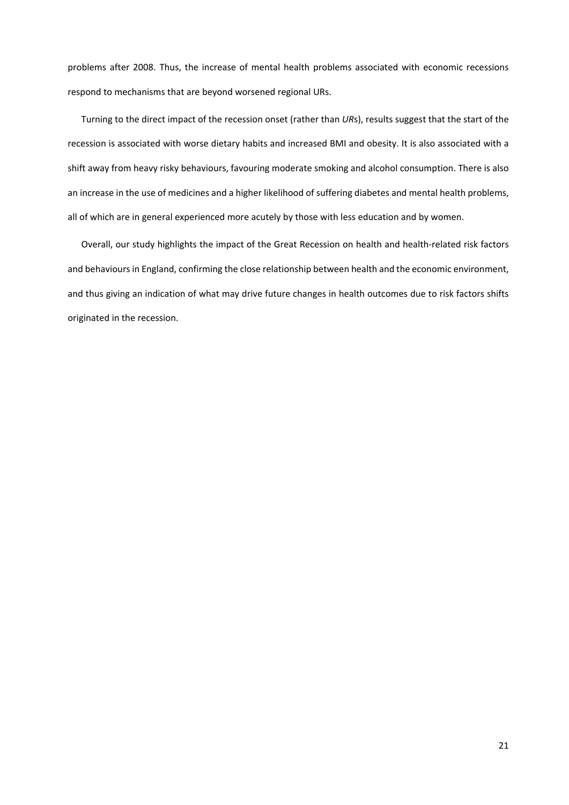problems after 2008. Thus, the increase of mental health problems associated with economic recessions respond to mechanisms that are beyond worsened regional URs.

Turning to the direct impact of the recession onset (rather than *UR*s), results suggest that the start of the recession is associated with worse dietary habits and increased BMI and obesity. It is also associated with a shift away from heavy risky behaviours, favouring moderate smoking and alcohol consumption. There is also an increase in the use of medicines and a higher likelihood of suffering diabetes and mental health problems, all of which are in general experienced more acutely by those with less education and by women.

Overall, our study highlights the impact of the Great Recession on health and health-related risk factors and behaviours in England, confirming the close relationship between health and the economic environment, and thus giving an indication of what may drive future changes in health outcomes due to risk factors shifts originated in the recession.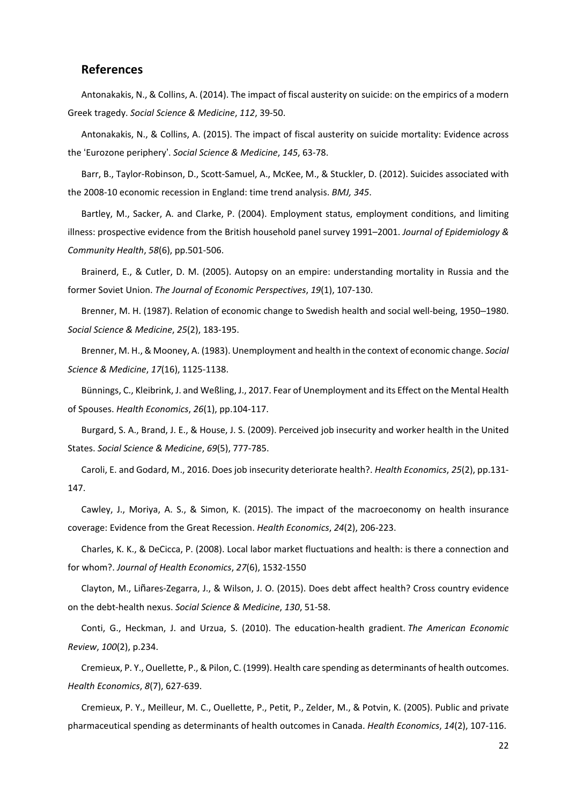# **References**

Antonakakis, N., & Collins, A. (2014). The impact of fiscal austerity on suicide: on the empirics of a modern Greek tragedy. *Social Science & Medicine*, *112*, 39-50.

Antonakakis, N., & Collins, A. (2015). The impact of fiscal austerity on suicide mortality: Evidence across the 'Eurozone periphery'. *Social Science & Medicine*, *145*, 63-78.

Barr, B., Taylor-Robinson, D., Scott-Samuel, A., McKee, M., & Stuckler, D. (2012). Suicides associated with the 2008-10 economic recession in England: time trend analysis. *BMJ, 345*.

Bartley, M., Sacker, A. and Clarke, P. (2004). Employment status, employment conditions, and limiting illness: prospective evidence from the British household panel survey 1991–2001. *Journal of Epidemiology & Community Health*, *58*(6), pp.501-506.

Brainerd, E., & Cutler, D. M. (2005). Autopsy on an empire: understanding mortality in Russia and the former Soviet Union. *The Journal of Economic Perspectives*, *19*(1), 107-130.

Brenner, M. H. (1987). Relation of economic change to Swedish health and social well-being, 1950–1980. *Social Science & Medicine*, *25*(2), 183-195.

Brenner, M. H., & Mooney, A. (1983). Unemployment and health in the context of economic change. *Social Science & Medicine*, *17*(16), 1125-1138.

Bünnings, C., Kleibrink, J. and Weßling, J., 2017. Fear of Unemployment and its Effect on the Mental Health of Spouses. *Health Economics*, *26*(1), pp.104-117.

Burgard, S. A., Brand, J. E., & House, J. S. (2009). Perceived job insecurity and worker health in the United States. *Social Science & Medicine*, *69*(5), 777-785.

Caroli, E. and Godard, M., 2016. Does job insecurity deteriorate health?. *Health Economics*, *25*(2), pp.131- 147.

Cawley, J., Moriya, A. S., & Simon, K. (2015). The impact of the macroeconomy on health insurance coverage: Evidence from the Great Recession. *Health Economics*, *24*(2), 206-223.

Charles, K. K., & DeCicca, P. (2008). Local labor market fluctuations and health: is there a connection and for whom?. *Journal of Health Economics*, *27*(6), 1532-1550

Clayton, M., Liñares-Zegarra, J., & Wilson, J. O. (2015). Does debt affect health? Cross country evidence on the debt-health nexus. *Social Science & Medicine*, *130*, 51-58.

Conti, G., Heckman, J. and Urzua, S. (2010). The education-health gradient. *The American Economic Review*, *100*(2), p.234.

Cremieux, P. Y., Ouellette, P., & Pilon, C. (1999). Health care spending as determinants of health outcomes. *Health Economics*, *8*(7), 627-639.

Cremieux, P. Y., Meilleur, M. C., Ouellette, P., Petit, P., Zelder, M., & Potvin, K. (2005). Public and private pharmaceutical spending as determinants of health outcomes in Canada. *Health Economics*, *14*(2), 107-116.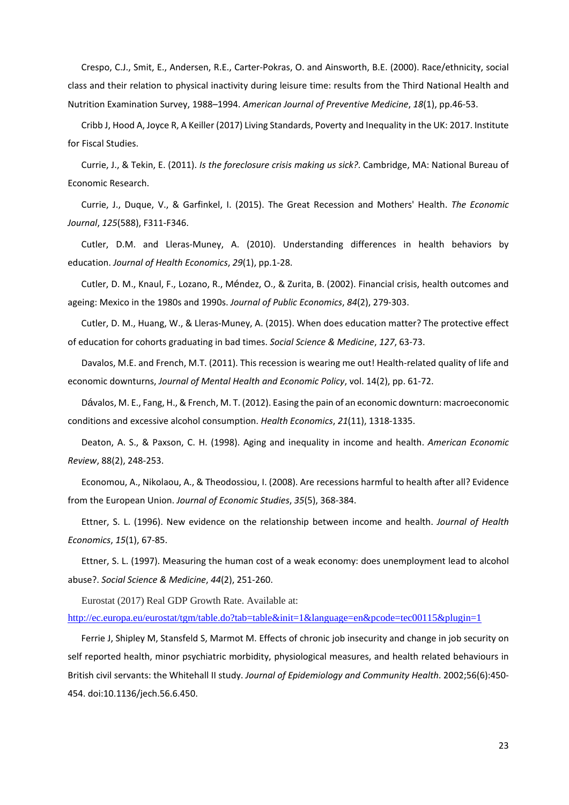Crespo, C.J., Smit, E., Andersen, R.E., Carter-Pokras, O. and Ainsworth, B.E. (2000). Race/ethnicity, social class and their relation to physical inactivity during leisure time: results from the Third National Health and Nutrition Examination Survey, 1988–1994. *American Journal of Preventive Medicine*, *18*(1), pp.46-53.

Cribb J, Hood A, Joyce R, A Keiller (2017) Living Standards, Poverty and Inequality in the UK: 2017. Institute for Fiscal Studies.

Currie, J., & Tekin, E. (2011). *Is the foreclosure crisis making us sick?*. Cambridge, MA: National Bureau of Economic Research.

Currie, J., Duque, V., & Garfinkel, I. (2015). The Great Recession and Mothers' Health. *The Economic Journal*, *125*(588), F311-F346.

Cutler, D.M. and Lleras-Muney, A. (2010). Understanding differences in health behaviors by education. *Journal of Health Economics*, *29*(1), pp.1-28.

Cutler, D. M., Knaul, F., Lozano, R., Méndez, O., & Zurita, B. (2002). Financial crisis, health outcomes and ageing: Mexico in the 1980s and 1990s. *Journal of Public Economics*, *84*(2), 279-303.

Cutler, D. M., Huang, W., & Lleras-Muney, A. (2015). When does education matter? The protective effect of education for cohorts graduating in bad times. *Social Science & Medicine*, *127*, 63-73.

Davalos, M.E. and French, M.T. (2011). This recession is wearing me out! Health-related quality of life and economic downturns, *Journal of Mental Health and Economic Policy*, vol. 14(2), pp. 61-72.

Dávalos, M. E., Fang, H., & French, M. T. (2012). Easing the pain of an economic downturn: macroeconomic conditions and excessive alcohol consumption. *Health Economics*, *21*(11), 1318-1335.

Deaton, A. S., & Paxson, C. H. (1998). Aging and inequality in income and health. *American Economic Review*, 88(2), 248-253.

Economou, A., Nikolaou, A., & Theodossiou, I. (2008). Are recessions harmful to health after all? Evidence from the European Union. *Journal of Economic Studies*, *35*(5), 368-384.

Ettner, S. L. (1996). New evidence on the relationship between income and health. *Journal of Health Economics*, *15*(1), 67-85.

Ettner, S. L. (1997). Measuring the human cost of a weak economy: does unemployment lead to alcohol abuse?. *Social Science & Medicine*, *44*(2), 251-260.

Eurostat (2017) Real GDP Growth Rate. Available at:

<http://ec.europa.eu/eurostat/tgm/table.do?tab=table&init=1&language=en&pcode=tec00115&plugin=1>

Ferrie J, Shipley M, Stansfeld S, Marmot M. Effects of chronic job insecurity and change in job security on self reported health, minor psychiatric morbidity, physiological measures, and health related behaviours in British civil servants: the Whitehall II study. *Journal of Epidemiology and Community Health*. 2002;56(6):450- 454. doi:10.1136/jech.56.6.450.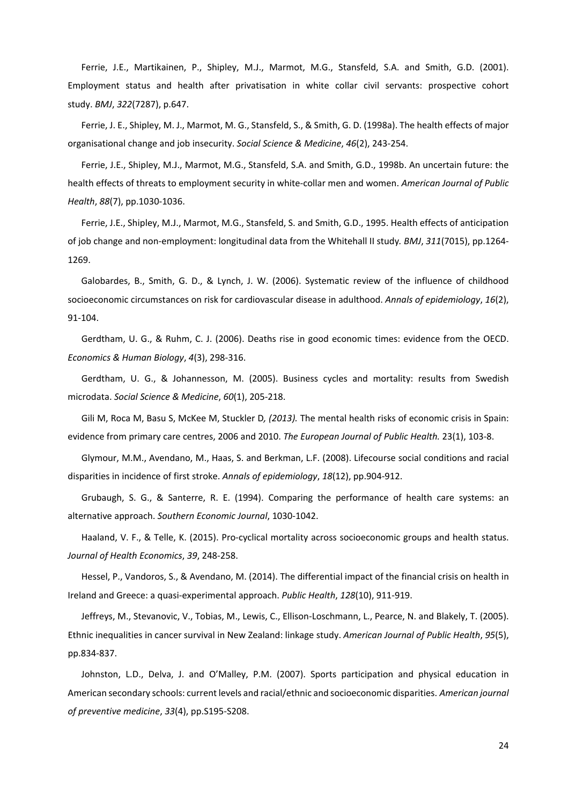Ferrie, J.E., Martikainen, P., Shipley, M.J., Marmot, M.G., Stansfeld, S.A. and Smith, G.D. (2001). Employment status and health after privatisation in white collar civil servants: prospective cohort study. *BMJ*, *322*(7287), p.647.

Ferrie, J. E., Shipley, M. J., Marmot, M. G., Stansfeld, S., & Smith, G. D. (1998a). The health effects of major organisational change and job insecurity. *Social Science & Medicine*, *46*(2), 243-254.

Ferrie, J.E., Shipley, M.J., Marmot, M.G., Stansfeld, S.A. and Smith, G.D., 1998b. An uncertain future: the health effects of threats to employment security in white-collar men and women. *American Journal of Public Health*, *88*(7), pp.1030-1036.

Ferrie, J.E., Shipley, M.J., Marmot, M.G., Stansfeld, S. and Smith, G.D., 1995. Health effects of anticipation of job change and non-employment: longitudinal data from the Whitehall II study*. BMJ*, *311*(7015), pp.1264- 1269.

Galobardes, B., Smith, G. D., & Lynch, J. W. (2006). Systematic review of the influence of childhood socioeconomic circumstances on risk for cardiovascular disease in adulthood. *Annals of epidemiology*, *16*(2), 91-104.

Gerdtham, U. G., & Ruhm, C. J. (2006). Deaths rise in good economic times: evidence from the OECD. *Economics & Human Biology*, *4*(3), 298-316.

Gerdtham, U. G., & Johannesson, M. (2005). Business cycles and mortality: results from Swedish microdata. *Social Science & Medicine*, *60*(1), 205-218.

[Gili M,](https://www.ncbi.nlm.nih.gov/pubmed/?term=Gili%20M%5BAuthor%5D&cauthor=true&cauthor_uid=23132877) [Roca M,](https://www.ncbi.nlm.nih.gov/pubmed/?term=Roca%20M%5BAuthor%5D&cauthor=true&cauthor_uid=23132877) [Basu S,](https://www.ncbi.nlm.nih.gov/pubmed/?term=Basu%20S%5BAuthor%5D&cauthor=true&cauthor_uid=23132877) [McKee M,](https://www.ncbi.nlm.nih.gov/pubmed/?term=McKee%20M%5BAuthor%5D&cauthor=true&cauthor_uid=23132877) [Stuckler D](https://www.ncbi.nlm.nih.gov/pubmed/?term=Stuckler%20D%5BAuthor%5D&cauthor=true&cauthor_uid=23132877)*, (2013).* The mental health risks of economic crisis in Spain: evidence from primary care centres, 2006 and 2010. *The European Journal of Public Health.* 23(1), 103-8.

Glymour, M.M., Avendano, M., Haas, S. and Berkman, L.F. (2008). Lifecourse social conditions and racial disparities in incidence of first stroke. *Annals of epidemiology*, *18*(12), pp.904-912.

Grubaugh, S. G., & Santerre, R. E. (1994). Comparing the performance of health care systems: an alternative approach. *Southern Economic Journal*, 1030-1042.

Haaland, V. F., & Telle, K. (2015). Pro-cyclical mortality across socioeconomic groups and health status. *Journal of Health Economics*, *39*, 248-258.

Hessel, P., Vandoros, S., & Avendano, M. (2014). The differential impact of the financial crisis on health in Ireland and Greece: a quasi-experimental approach. *Public Health*, *128*(10), 911-919.

Jeffreys, M., Stevanovic, V., Tobias, M., Lewis, C., Ellison-Loschmann, L., Pearce, N. and Blakely, T. (2005). Ethnic inequalities in cancer survival in New Zealand: linkage study. *American Journal of Public Health*, *95*(5), pp.834-837.

Johnston, L.D., Delva, J. and O'Malley, P.M. (2007). Sports participation and physical education in American secondary schools: current levels and racial/ethnic and socioeconomic disparities. *American journal of preventive medicine*, *33*(4), pp.S195-S208.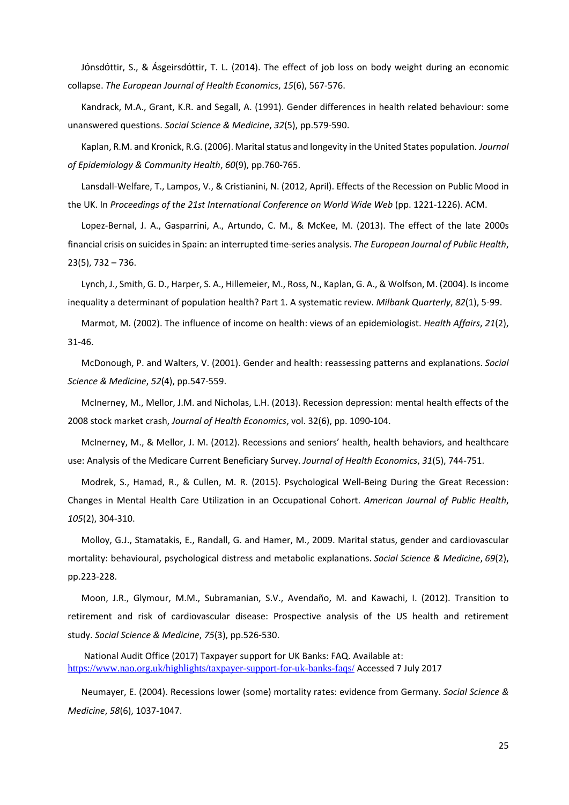Jónsdóttir, S., & Ásgeirsdóttir, T. L. (2014). The effect of job loss on body weight during an economic collapse. *The European Journal of Health Economics*, *15*(6), 567-576.

Kandrack, M.A., Grant, K.R. and Segall, A. (1991). Gender differences in health related behaviour: some unanswered questions. *Social Science & Medicine*, *32*(5), pp.579-590.

Kaplan, R.M. and Kronick, R.G. (2006). Marital status and longevity in the United States population. *Journal of Epidemiology & Community Health*, *60*(9), pp.760-765.

Lansdall-Welfare, T., Lampos, V., & Cristianini, N. (2012, April). Effects of the Recession on Public Mood in the UK. In *Proceedings of the 21st International Conference on World Wide Web* (pp. 1221-1226). ACM.

Lopez-Bernal, J. A., Gasparrini, A., Artundo, C. M., & McKee, M. (2013). The effect of the late 2000s financial crisis on suicides in Spain: an interrupted time-series analysis. *The European Journal of Public Health*, 23(5), 732 – 736.

Lynch, J., Smith, G. D., Harper, S. A., Hillemeier, M., Ross, N., Kaplan, G. A., & Wolfson, M. (2004). Is income inequality a determinant of population health? Part 1. A systematic review. *Milbank Quarterly*, *82*(1), 5-99.

Marmot, M. (2002). The influence of income on health: views of an epidemiologist. *Health Affairs*, *21*(2), 31-46.

McDonough, P. and Walters, V. (2001). Gender and health: reassessing patterns and explanations. *Social Science & Medicine*, *52*(4), pp.547-559.

McInerney, M., Mellor, J.M. and Nicholas, L.H. (2013). Recession depression: mental health effects of the 2008 stock market crash, *Journal of Health Economics*, vol. 32(6), pp. 1090-104.

McInerney, M., & Mellor, J. M. (2012). Recessions and seniors' health, health behaviors, and healthcare use: Analysis of the Medicare Current Beneficiary Survey. *Journal of Health Economics*, *31*(5), 744-751.

Modrek, S., Hamad, R., & Cullen, M. R. (2015). Psychological Well-Being During the Great Recession: Changes in Mental Health Care Utilization in an Occupational Cohort. *American Journal of Public Health*, *105*(2), 304-310.

Molloy, G.J., Stamatakis, E., Randall, G. and Hamer, M., 2009. Marital status, gender and cardiovascular mortality: behavioural, psychological distress and metabolic explanations. *Social Science & Medicine*, *69*(2), pp.223-228.

Moon, J.R., Glymour, M.M., Subramanian, S.V., Avendaño, M. and Kawachi, I. (2012). Transition to retirement and risk of cardiovascular disease: Prospective analysis of the US health and retirement study. *Social Science & Medicine*, *75*(3), pp.526-530.

National Audit Office (2017) Taxpayer support for UK Banks: FAQ. Available at: <https://www.nao.org.uk/highlights/taxpayer-support-for-uk-banks-faqs/> Accessed 7 July 2017

Neumayer, E. (2004). Recessions lower (some) mortality rates: evidence from Germany. *Social Science & Medicine*, *58*(6), 1037-1047.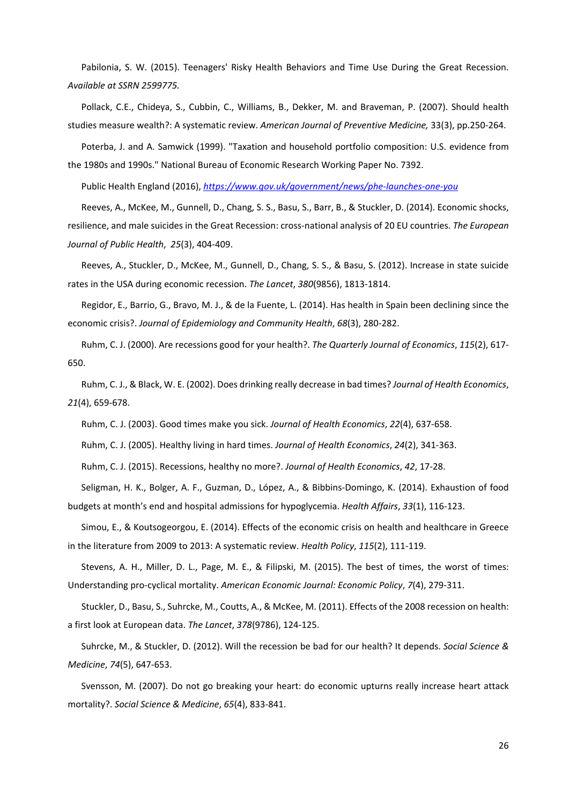Pabilonia, S. W. (2015). Teenagers' Risky Health Behaviors and Time Use During the Great Recession. *Available at SSRN 2599775.*

Pollack, C.E., Chideya, S., Cubbin, C., Williams, B., Dekker, M. and Braveman, P. (2007). Should health studies measure wealth?: A systematic review. *American Journal of Preventive Medicine,* 33(3), pp.250-264.

Poterba, J. and A. Samwick (1999). "Taxation and household portfolio composition: U.S. evidence from the 1980s and 1990s." National Bureau of Economic Research Working Paper No. 7392.

Public Health England (2016), *<https://www.gov.uk/government/news/phe-launches-one-you>*

Reeves, A., McKee, M., Gunnell, D., Chang, S. S., Basu, S., Barr, B., & Stuckler, D. (2014). Economic shocks, resilience, and male suicides in the Great Recession: cross-national analysis of 20 EU countries. *The European Journal of Public Health*, *25*(3), 404-409.

Reeves, A., Stuckler, D., McKee, M., Gunnell, D., Chang, S. S., & Basu, S. (2012). Increase in state suicide rates in the USA during economic recession. *The Lancet*, *380*(9856), 1813-1814.

Regidor, E., Barrio, G., Bravo, M. J., & de la Fuente, L. (2014). Has health in Spain been declining since the economic crisis?. *Journal of Epidemiology and Community Health*, *68*(3), 280-282.

Ruhm, C. J. (2000). Are recessions good for your health?. *The Quarterly Journal of Economics*, *115*(2), 617- 650.

Ruhm, C. J., & Black, W. E. (2002). Does drinking really decrease in bad times? *Journal of Health Economics*, *21*(4), 659-678.

Ruhm, C. J. (2003). Good times make you sick. *Journal of Health Economics*, *22*(4), 637-658.

Ruhm, C. J. (2005). Healthy living in hard times. *Journal of Health Economics*, *24*(2), 341-363.

Ruhm, C. J. (2015). Recessions, healthy no more?. *Journal of Health Economics*, *42*, 17-28.

Seligman, H. K., Bolger, A. F., Guzman, D., López, A., & Bibbins-Domingo, K. (2014). Exhaustion of food budgets at month's end and hospital admissions for hypoglycemia. *Health Affairs*, *33*(1), 116-123.

Simou, E., & Koutsogeorgou, E. (2014). Effects of the economic crisis on health and healthcare in Greece in the literature from 2009 to 2013: A systematic review. *Health Policy*, *115*(2), 111-119.

Stevens, A. H., Miller, D. L., Page, M. E., & Filipski, M. (2015). The best of times, the worst of times: Understanding pro-cyclical mortality. *American Economic Journal: Economic Policy*, *7*(4), 279-311.

Stuckler, D., Basu, S., Suhrcke, M., Coutts, A., & McKee, M. (2011). Effects of the 2008 recession on health: a first look at European data. *The Lancet*, *378*(9786), 124-125.

Suhrcke, M., & Stuckler, D. (2012). Will the recession be bad for our health? It depends. *Social Science & Medicine*, *74*(5), 647-653.

Svensson, M. (2007). Do not go breaking your heart: do economic upturns really increase heart attack mortality?. *Social Science & Medicine*, *65*(4), 833-841.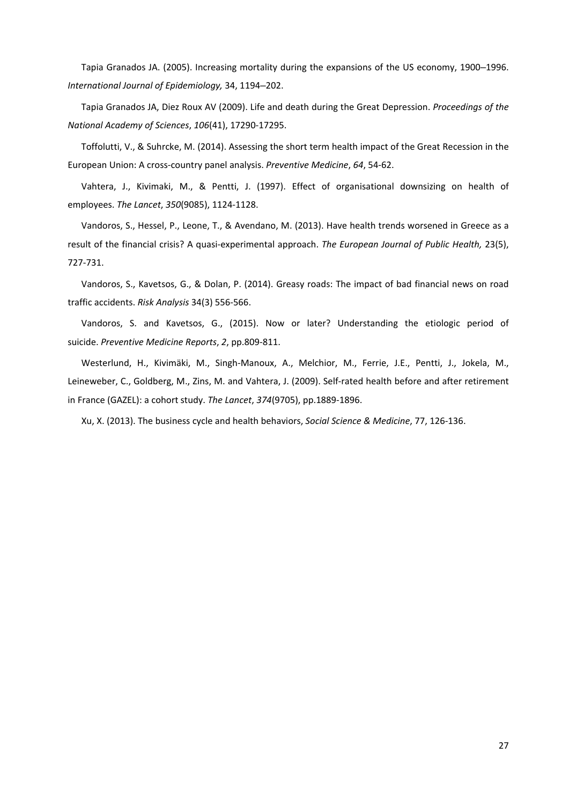Tapia Granados JA. (2005). Increasing mortality during the expansions of the US economy, 1900–1996. *International Journal of Epidemiology,* 34, 1194–202.

Tapia Granados JA, Diez Roux AV (2009). Life and death during the Great Depression. *Proceedings of the National Academy of Sciences*, *106*(41), 17290-17295.

Toffolutti, V., & Suhrcke, M. (2014). Assessing the short term health impact of the Great Recession in the European Union: A cross-country panel analysis. *Preventive Medicine*, *64*, 54-62.

Vahtera, J., Kivimaki, M., & Pentti, J. (1997). Effect of organisational downsizing on health of employees. *The Lancet*, *350*(9085), 1124-1128.

Vandoros, S., Hessel, P., Leone, T., & Avendano, M. (2013). Have health trends worsened in Greece as a result of the financial crisis? A quasi-experimental approach. *The European Journal of Public Health,* 23(5), 727-731.

Vandoros, S., Kavetsos, G., & Dolan, P. (2014). Greasy roads: The impact of bad financial news on road traffic accidents. *Risk Analysis* 34(3) 556-566.

Vandoros, S. and Kavetsos, G., (2015). Now or later? Understanding the etiologic period of suicide. *Preventive Medicine Reports*, *2*, pp.809-811.

Westerlund, H., Kivimäki, M., Singh-Manoux, A., Melchior, M., Ferrie, J.E., Pentti, J., Jokela, M., Leineweber, C., Goldberg, M., Zins, M. and Vahtera, J. (2009). Self-rated health before and after retirement in France (GAZEL): a cohort study. *The Lancet*, *374*(9705), pp.1889-1896.

Xu, X. (2013). The business cycle and health behaviors, *Social Science & Medicine*, 77, 126-136.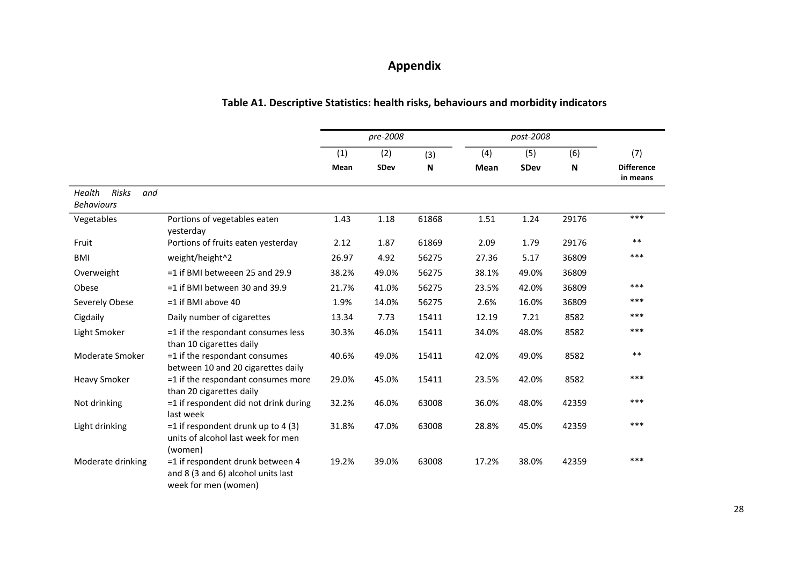# **Appendix**

| Table A1. Descriptive Statistics: health risks, behaviours and morbidity indicators |  |
|-------------------------------------------------------------------------------------|--|
|-------------------------------------------------------------------------------------|--|

|                                             |                                                                                                |       | pre-2008    |              |             | post-2008   |       |                               |
|---------------------------------------------|------------------------------------------------------------------------------------------------|-------|-------------|--------------|-------------|-------------|-------|-------------------------------|
|                                             |                                                                                                | (1)   | (2)         | (3)          | (4)         | (5)         | (6)   | (7)                           |
|                                             |                                                                                                | Mean  | <b>SDev</b> | $\mathsf{N}$ | <b>Mean</b> | <b>SDev</b> | N     | <b>Difference</b><br>in means |
| Health<br>Risks<br>and<br><b>Behaviours</b> |                                                                                                |       |             |              |             |             |       |                               |
| Vegetables                                  | Portions of vegetables eaten<br>yesterday                                                      | 1.43  | 1.18        | 61868        | 1.51        | 1.24        | 29176 | ***                           |
| Fruit                                       | Portions of fruits eaten yesterday                                                             | 2.12  | 1.87        | 61869        | 2.09        | 1.79        | 29176 | $***$                         |
| <b>BMI</b>                                  | weight/height^2                                                                                | 26.97 | 4.92        | 56275        | 27.36       | 5.17        | 36809 | ***                           |
| Overweight                                  | $=1$ if BMI betweeen 25 and 29.9                                                               | 38.2% | 49.0%       | 56275        | 38.1%       | 49.0%       | 36809 |                               |
| Obese                                       | $=1$ if BMI between 30 and 39.9                                                                | 21.7% | 41.0%       | 56275        | 23.5%       | 42.0%       | 36809 | $***$                         |
| Severely Obese                              | $=1$ if BMI above 40                                                                           | 1.9%  | 14.0%       | 56275        | 2.6%        | 16.0%       | 36809 | ***                           |
| Cigdaily                                    | Daily number of cigarettes                                                                     | 13.34 | 7.73        | 15411        | 12.19       | 7.21        | 8582  | ***                           |
| Light Smoker                                | =1 if the respondant consumes less<br>than 10 cigarettes daily                                 | 30.3% | 46.0%       | 15411        | 34.0%       | 48.0%       | 8582  | $***$                         |
| Moderate Smoker                             | =1 if the respondant consumes<br>between 10 and 20 cigarettes daily                            | 40.6% | 49.0%       | 15411        | 42.0%       | 49.0%       | 8582  | $***$                         |
| <b>Heavy Smoker</b>                         | =1 if the respondant consumes more<br>than 20 cigarettes daily                                 | 29.0% | 45.0%       | 15411        | 23.5%       | 42.0%       | 8582  | ***                           |
| Not drinking                                | =1 if respondent did not drink during<br>last week                                             | 32.2% | 46.0%       | 63008        | 36.0%       | 48.0%       | 42359 | ***                           |
| Light drinking                              | $=$ 1 if respondent drunk up to 4 (3)<br>units of alcohol last week for men<br>(women)         | 31.8% | 47.0%       | 63008        | 28.8%       | 45.0%       | 42359 | ***                           |
| Moderate drinking                           | =1 if respondent drunk between 4<br>and 8 (3 and 6) alcohol units last<br>week for men (women) | 19.2% | 39.0%       | 63008        | 17.2%       | 38.0%       | 42359 | ***                           |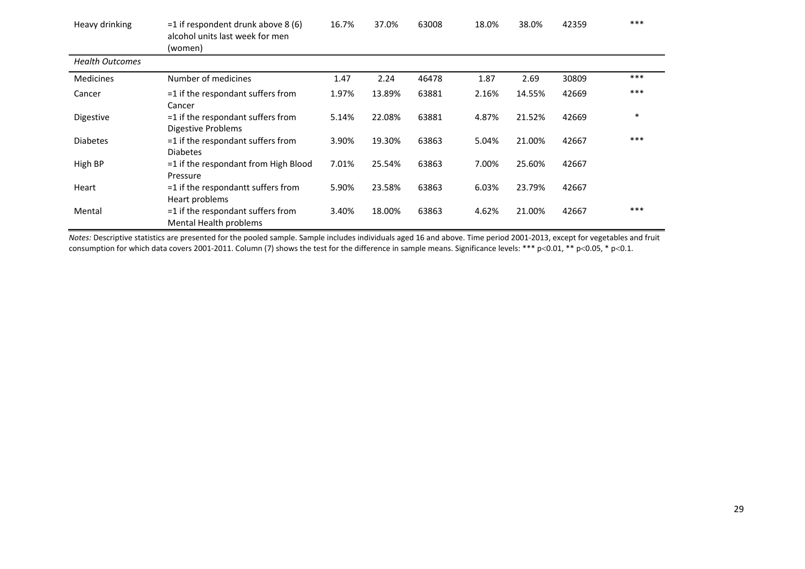| Heavy drinking         | $=$ 1 if respondent drunk above 8 (6)<br>alcohol units last week for men<br>(women) | 16.7% | 37.0%  | 63008 | 18.0% | 38.0%  | 42359 | ***    |
|------------------------|-------------------------------------------------------------------------------------|-------|--------|-------|-------|--------|-------|--------|
| <b>Health Outcomes</b> |                                                                                     |       |        |       |       |        |       |        |
| <b>Medicines</b>       | Number of medicines                                                                 | 1.47  | 2.24   | 46478 | 1.87  | 2.69   | 30809 | $***$  |
| Cancer                 | $=$ 1 if the respondant suffers from<br>Cancer                                      | 1.97% | 13.89% | 63881 | 2.16% | 14.55% | 42669 | $***$  |
| Digestive              | $=$ 1 if the respondant suffers from<br><b>Digestive Problems</b>                   | 5.14% | 22.08% | 63881 | 4.87% | 21.52% | 42669 | $\ast$ |
| <b>Diabetes</b>        | =1 if the respondant suffers from<br><b>Diabetes</b>                                | 3.90% | 19.30% | 63863 | 5.04% | 21.00% | 42667 | $***$  |
| High BP                | =1 if the respondant from High Blood<br>Pressure                                    | 7.01% | 25.54% | 63863 | 7.00% | 25.60% | 42667 |        |
| Heart                  | =1 if the respondantt suffers from<br>Heart problems                                | 5.90% | 23.58% | 63863 | 6.03% | 23.79% | 42667 |        |
| Mental                 | =1 if the respondant suffers from<br>Mental Health problems                         | 3.40% | 18.00% | 63863 | 4.62% | 21.00% | 42667 | $***$  |

*Notes:* Descriptive statistics are presented for the pooled sample. Sample includes individuals aged 16 and above. Time period 2001-2013, except for vegetables and fruit consumption for which data covers 2001-2011. Column (7) shows the test for the difference in sample means. Significance levels: \*\*\* p<0.01, \*\* p<0.05, \* p<0.1.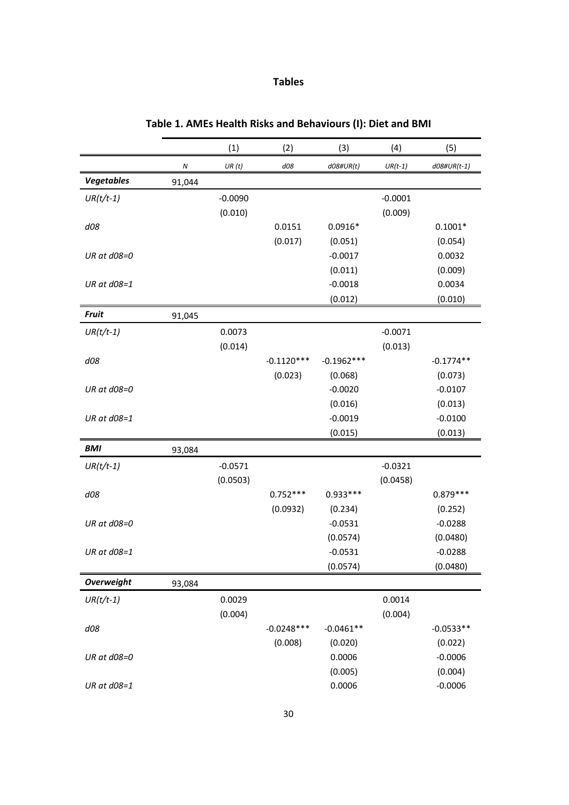# **Tables**

|                   |                  | (1)       | (2)          | (3)          | (4)       | (5)         |
|-------------------|------------------|-----------|--------------|--------------|-----------|-------------|
|                   | $\boldsymbol{N}$ | UR(t)     | d08          | $d08\#UR(t)$ | $UR(t-1)$ | d08#UR(t-1) |
| <b>Vegetables</b> | 91,044           |           |              |              |           |             |
| $UR(t/t-1)$       |                  | $-0.0090$ |              |              | $-0.0001$ |             |
|                   |                  | (0.010)   |              |              | (0.009)   |             |
| d08               |                  |           | 0.0151       | $0.0916*$    |           | $0.1001*$   |
|                   |                  |           | (0.017)      | (0.051)      |           | (0.054)     |
| UR at d08=0       |                  |           |              | $-0.0017$    |           | 0.0032      |
|                   |                  |           |              | (0.011)      |           | (0.009)     |
| UR at $d08=1$     |                  |           |              | $-0.0018$    |           | 0.0034      |
|                   |                  |           |              | (0.012)      |           | (0.010)     |
| <b>Fruit</b>      | 91,045           |           |              |              |           |             |
| $UR(t/t-1)$       |                  | 0.0073    |              |              | $-0.0071$ |             |
|                   |                  | (0.014)   |              |              | (0.013)   |             |
| d08               |                  |           | $-0.1120***$ | $-0.1962***$ |           | $-0.1774**$ |
|                   |                  |           | (0.023)      | (0.068)      |           | (0.073)     |
| UR at $d08=0$     |                  |           |              | $-0.0020$    |           | $-0.0107$   |
|                   |                  |           |              | (0.016)      |           | (0.013)     |
| UR at d08=1       |                  |           |              | $-0.0019$    |           | $-0.0100$   |
|                   |                  |           |              | (0.015)      |           | (0.013)     |
| <b>BMI</b>        | 93,084           |           |              |              |           |             |
| $UR(t/t-1)$       |                  | $-0.0571$ |              |              | $-0.0321$ |             |
|                   |                  | (0.0503)  |              |              | (0.0458)  |             |
| d08               |                  |           | $0.752***$   | $0.933***$   |           | $0.879***$  |
|                   |                  |           | (0.0932)     | (0.234)      |           | (0.252)     |
| UR at d08=0       |                  |           |              | $-0.0531$    |           | $-0.0288$   |
|                   |                  |           |              | (0.0574)     |           | (0.0480)    |
| UR at d08=1       |                  |           |              | $-0.0531$    |           | $-0.0288$   |
|                   |                  |           |              | (0.0574)     |           | (0.0480)    |
| <b>Overweight</b> | 93,084           |           |              |              |           |             |
| $UR(t/t-1)$       |                  | 0.0029    |              |              | 0.0014    |             |
|                   |                  | (0.004)   |              |              | (0.004)   |             |
| d08               |                  |           | $-0.0248***$ | $-0.0461**$  |           | $-0.0533**$ |
|                   |                  |           | (0.008)      | (0.020)      |           | (0.022)     |
| UR at d08=0       |                  |           |              | 0.0006       |           | $-0.0006$   |
|                   |                  |           |              | (0.005)      |           | (0.004)     |
| UR at $d08=1$     |                  |           |              | 0.0006       |           | $-0.0006$   |

# **Table 1. AMEs Health Risks and Behaviours (I): Diet and BMI**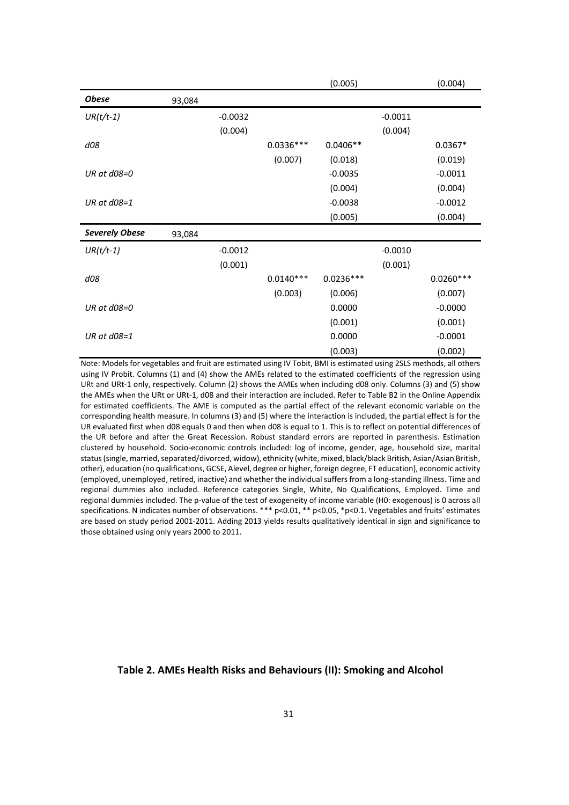|                       |        |           |             | (0.005)     |           | (0.004)     |
|-----------------------|--------|-----------|-------------|-------------|-----------|-------------|
| <b>Obese</b>          | 93,084 |           |             |             |           |             |
| $UR(t/t-1)$           |        | $-0.0032$ |             |             | $-0.0011$ |             |
|                       |        | (0.004)   |             |             | (0.004)   |             |
| d08                   |        |           | $0.0336***$ | $0.0406**$  |           | $0.0367*$   |
|                       |        |           | (0.007)     | (0.018)     |           | (0.019)     |
| UR at $d08=0$         |        |           |             | $-0.0035$   |           | $-0.0011$   |
|                       |        |           |             | (0.004)     |           | (0.004)     |
| UR at $d08=1$         |        |           |             | $-0.0038$   |           | $-0.0012$   |
|                       |        |           |             | (0.005)     |           | (0.004)     |
| <b>Severely Obese</b> | 93,084 |           |             |             |           |             |
| $UR(t/t-1)$           |        | $-0.0012$ |             |             | $-0.0010$ |             |
|                       |        | (0.001)   |             |             | (0.001)   |             |
| d08                   |        |           | $0.0140***$ | $0.0236***$ |           | $0.0260***$ |
|                       |        |           | (0.003)     | (0.006)     |           | (0.007)     |
| UR at d08=0           |        |           |             | 0.0000      |           | $-0.0000$   |
|                       |        |           |             | (0.001)     |           | (0.001)     |
| UR at d08=1           |        |           |             | 0.0000      |           | $-0.0001$   |
|                       |        |           |             | (0.003)     |           | (0.002)     |

Note: Models for vegetables and fruit are estimated using IV Tobit, BMI is estimated using 2SLS methods, all others using IV Probit. Columns (1) and (4) show the AMEs related to the estimated coefficients of the regression using URt and URt-1 only, respectively. Column (2) shows the AMEs when including d08 only. Columns (3) and (5) show the AMEs when the URt or URt-1, d08 and their interaction are included. Refer to Table B2 in the Online Appendix for estimated coefficients. The AME is computed as the partial effect of the relevant economic variable on the corresponding health measure. In columns (3) and (5) where the interaction is included, the partial effect is for the UR evaluated first when d08 equals 0 and then when d08 is equal to 1. This is to reflect on potential differences of the UR before and after the Great Recession. Robust standard errors are reported in parenthesis. Estimation clustered by household. Socio-economic controls included: log of income, gender, age, household size, marital status (single, married, separated/divorced, widow), ethnicity (white, mixed, black/black British, Asian/Asian British, other), education (no qualifications, GCSE, Alevel, degree or higher, foreign degree, FT education), economic activity (employed, unemployed, retired, inactive) and whether the individual suffers from a long-standing illness. Time and regional dummies also included. Reference categories Single, White, No Qualifications, Employed. Time and regional dummies included. The p-value of the test of exogeneity of income variable (H0: exogenous) is 0 across all specifications. N indicates number of observations. \*\*\* p<0.01, \*\* p<0.05, \*p<0.1. Vegetables and fruits' estimates are based on study period 2001-2011. Adding 2013 yields results qualitatively identical in sign and significance to those obtained using only years 2000 to 2011.

# **Table 2. AMEs Health Risks and Behaviours (II): Smoking and Alcohol**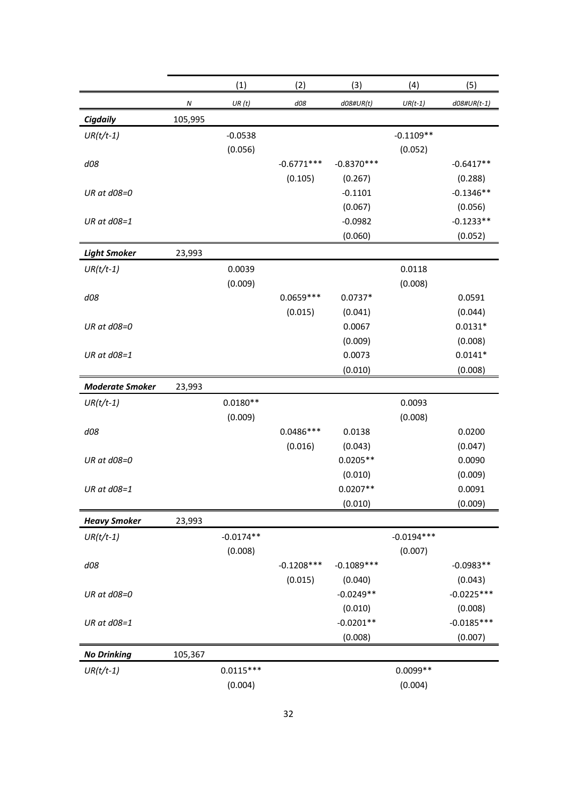|                        |                  | (1)         | (2)          | (3)          | (4)          | (5)            |
|------------------------|------------------|-------------|--------------|--------------|--------------|----------------|
|                        | $\boldsymbol{N}$ | UR(t)       | d08          | $d08\#UR(t)$ | $UR(t-1)$    | $d08\#UR(t-1)$ |
| <b>Cigdaily</b>        | 105,995          |             |              |              |              |                |
| $UR(t/t-1)$            |                  | $-0.0538$   |              |              | $-0.1109**$  |                |
|                        |                  | (0.056)     |              |              | (0.052)      |                |
| d08                    |                  |             | $-0.6771***$ | $-0.8370***$ |              | $-0.6417**$    |
|                        |                  |             | (0.105)      | (0.267)      |              | (0.288)        |
| UR at d08=0            |                  |             |              | $-0.1101$    |              | $-0.1346**$    |
|                        |                  |             |              | (0.067)      |              | (0.056)        |
| UR at d08=1            |                  |             |              | $-0.0982$    |              | $-0.1233**$    |
|                        |                  |             |              | (0.060)      |              | (0.052)        |
| <b>Light Smoker</b>    | 23,993           |             |              |              |              |                |
| $UR(t/t-1)$            |                  | 0.0039      |              |              | 0.0118       |                |
|                        |                  | (0.009)     |              |              | (0.008)      |                |
| d08                    |                  |             | $0.0659***$  | $0.0737*$    |              | 0.0591         |
|                        |                  |             | (0.015)      | (0.041)      |              | (0.044)        |
| UR at d08=0            |                  |             |              | 0.0067       |              | $0.0131*$      |
|                        |                  |             |              | (0.009)      |              | (0.008)        |
| UR at d08=1            |                  |             |              | 0.0073       |              | $0.0141*$      |
|                        |                  |             |              | (0.010)      |              | (0.008)        |
| <b>Moderate Smoker</b> | 23,993           |             |              |              |              |                |
| $UR(t/t-1)$            |                  | $0.0180**$  |              |              | 0.0093       |                |
|                        |                  | (0.009)     |              |              | (0.008)      |                |
| d08                    |                  |             | $0.0486***$  | 0.0138       |              | 0.0200         |
|                        |                  |             | (0.016)      | (0.043)      |              | (0.047)        |
| UR at $d08=0$          |                  |             |              | $0.0205**$   |              | 0.0090         |
|                        |                  |             |              | (0.010)      |              | (0.009)        |
| UR at d08=1            |                  |             |              | $0.0207**$   |              | 0.0091         |
|                        |                  |             |              | (0.010)      |              | (0.009)        |
| <b>Heavy Smoker</b>    | 23,993           |             |              |              |              |                |
| $UR(t/t-1)$            |                  | $-0.0174**$ |              |              | $-0.0194***$ |                |
|                        |                  | (0.008)     |              |              | (0.007)      |                |
| d08                    |                  |             | $-0.1208***$ | $-0.1089***$ |              | $-0.0983**$    |
|                        |                  |             | (0.015)      | (0.040)      |              | (0.043)        |
| UR at d08=0            |                  |             |              | $-0.0249**$  |              | $-0.0225***$   |
|                        |                  |             |              | (0.010)      |              | (0.008)        |
| UR at d08=1            |                  |             |              | $-0.0201**$  |              | $-0.0185***$   |
|                        |                  |             |              | (0.008)      |              | (0.007)        |
| <b>No Drinking</b>     | 105,367          |             |              |              |              |                |
| $UR(t/t-1)$            |                  | $0.0115***$ |              |              | $0.0099**$   |                |
|                        |                  | (0.004)     |              |              | (0.004)      |                |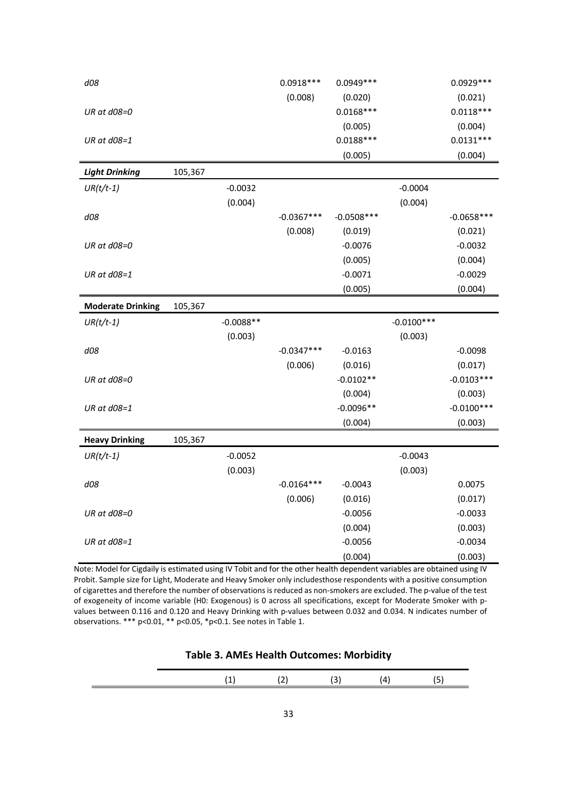| d08                      |         |             | $0.0918***$  | $0.0949***$  |              | $0.0929***$  |
|--------------------------|---------|-------------|--------------|--------------|--------------|--------------|
|                          |         |             | (0.008)      | (0.020)      |              | (0.021)      |
| UR at d08=0              |         |             |              | $0.0168***$  |              | $0.0118***$  |
|                          |         |             |              | (0.005)      |              | (0.004)      |
| UR at d08=1              |         |             |              | $0.0188***$  |              | $0.0131***$  |
|                          |         |             |              | (0.005)      |              | (0.004)      |
| <b>Light Drinking</b>    | 105,367 |             |              |              |              |              |
| $UR(t/t-1)$              |         | $-0.0032$   |              |              | $-0.0004$    |              |
|                          |         | (0.004)     |              |              | (0.004)      |              |
| d08                      |         |             | $-0.0367***$ | $-0.0508***$ |              | $-0.0658***$ |
|                          |         |             | (0.008)      | (0.019)      |              | (0.021)      |
| UR at d08=0              |         |             |              | $-0.0076$    |              | $-0.0032$    |
|                          |         |             |              | (0.005)      |              | (0.004)      |
| UR at d08=1              |         |             |              | $-0.0071$    |              | $-0.0029$    |
|                          |         |             |              | (0.005)      |              | (0.004)      |
| <b>Moderate Drinking</b> | 105,367 |             |              |              |              |              |
| $UR(t/t-1)$              |         | $-0.0088**$ |              |              | $-0.0100***$ |              |
|                          |         | (0.003)     |              |              | (0.003)      |              |
| d08                      |         |             | $-0.0347***$ | $-0.0163$    |              | $-0.0098$    |
|                          |         |             | (0.006)      | (0.016)      |              | (0.017)      |
| UR at d08=0              |         |             |              | $-0.0102**$  |              | $-0.0103***$ |
|                          |         |             |              | (0.004)      |              | (0.003)      |
| UR at d08=1              |         |             |              | $-0.0096**$  |              | $-0.0100***$ |
|                          |         |             |              | (0.004)      |              | (0.003)      |
| <b>Heavy Drinking</b>    | 105,367 |             |              |              |              |              |
| $UR(t/t-1)$              |         | $-0.0052$   |              |              | $-0.0043$    |              |
|                          |         | (0.003)     |              |              | (0.003)      |              |
| d08                      |         |             | $-0.0164***$ | $-0.0043$    |              | 0.0075       |
|                          |         |             | (0.006)      | (0.016)      |              | (0.017)      |
| UR at d08=0              |         |             |              | $-0.0056$    |              | $-0.0033$    |
|                          |         |             |              | (0.004)      |              | (0.003)      |
| UR at d08=1              |         |             |              | $-0.0056$    |              | $-0.0034$    |
|                          |         |             |              | (0.004)      |              | (0.003)      |

Note: Model for Cigdaily is estimated using IV Tobit and for the other health dependent variables are obtained using IV Probit. Sample size for Light, Moderate and Heavy Smoker only includesthose respondents with a positive consumption of cigarettes and therefore the number of observations is reduced as non-smokers are excluded. The p-value of the test of exogeneity of income variable (H0: Exogenous) is 0 across all specifications, except for Moderate Smoker with pvalues between 0.116 and 0.120 and Heavy Drinking with p-values between 0.032 and 0.034. N indicates number of observations. \*\*\* p<0.01, \*\* p<0.05, \*p<0.1. See notes in Table 1.

| <b>Table 3. AMEs Health Outcomes: Morbidity</b> |  |  |
|-------------------------------------------------|--|--|
|-------------------------------------------------|--|--|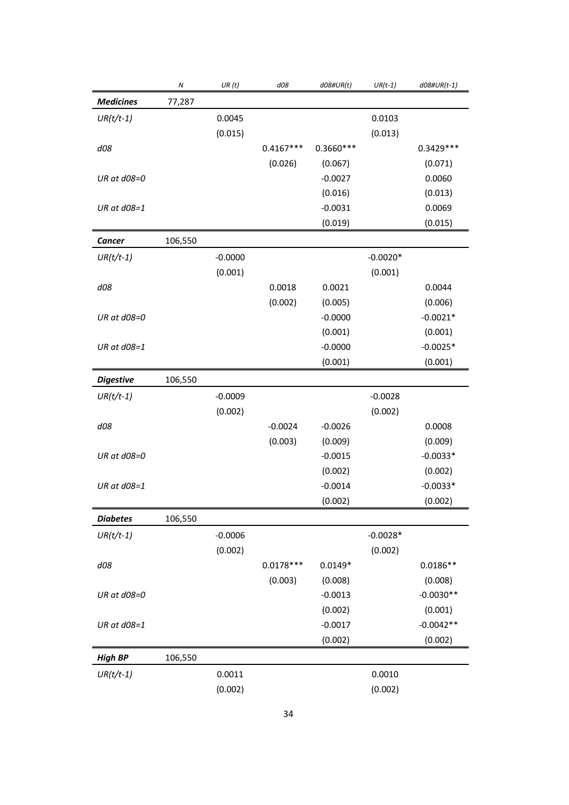|                  | $\boldsymbol{N}$ | UR(t)     | d08         | $d08\#UR(t)$ | $UR(t-1)$  | $d08\#UR(t-1)$ |
|------------------|------------------|-----------|-------------|--------------|------------|----------------|
| <b>Medicines</b> | 77,287           |           |             |              |            |                |
| $UR(t/t-1)$      |                  | 0.0045    |             |              | 0.0103     |                |
|                  |                  | (0.015)   |             |              | (0.013)    |                |
| d08              |                  |           | $0.4167***$ | $0.3660***$  |            | $0.3429***$    |
|                  |                  |           | (0.026)     | (0.067)      |            | (0.071)        |
| UR at d08=0      |                  |           |             | $-0.0027$    |            | 0.0060         |
|                  |                  |           |             | (0.016)      |            | (0.013)        |
| UR at $d08=1$    |                  |           |             | $-0.0031$    |            | 0.0069         |
|                  |                  |           |             | (0.019)      |            | (0.015)        |
| <b>Cancer</b>    | 106,550          |           |             |              |            |                |
| $UR(t/t-1)$      |                  | $-0.0000$ |             |              | $-0.0020*$ |                |
|                  |                  | (0.001)   |             |              | (0.001)    |                |
| d08              |                  |           | 0.0018      | 0.0021       |            | 0.0044         |
|                  |                  |           | (0.002)     | (0.005)      |            | (0.006)        |
| UR at d08=0      |                  |           |             | $-0.0000$    |            | $-0.0021*$     |
|                  |                  |           |             | (0.001)      |            | (0.001)        |
| UR at d08=1      |                  |           |             | $-0.0000$    |            | $-0.0025*$     |
|                  |                  |           |             | (0.001)      |            | (0.001)        |
| <b>Digestive</b> | 106,550          |           |             |              |            |                |
| $UR(t/t-1)$      |                  | $-0.0009$ |             |              | $-0.0028$  |                |
|                  |                  | (0.002)   |             |              | (0.002)    |                |
| d08              |                  |           | $-0.0024$   | $-0.0026$    |            | 0.0008         |
|                  |                  |           | (0.003)     | (0.009)      |            | (0.009)        |
| UR at d08=0      |                  |           |             | $-0.0015$    |            | $-0.0033*$     |
|                  |                  |           |             | (0.002)      |            | (0.002)        |
| UR at d08=1      |                  |           |             | $-0.0014$    |            | $-0.0033*$     |
|                  |                  |           |             | (0.002)      |            | (0.002)        |
| <b>Diabetes</b>  | 106,550          |           |             |              |            |                |
| $UR(t/t-1)$      |                  | $-0.0006$ |             |              | $-0.0028*$ |                |
|                  |                  | (0.002)   |             |              | (0.002)    |                |
| d08              |                  |           | $0.0178***$ | $0.0149*$    |            | $0.0186**$     |
|                  |                  |           | (0.003)     | (0.008)      |            | (0.008)        |
| UR at d08=0      |                  |           |             | $-0.0013$    |            | $-0.0030**$    |
|                  |                  |           |             | (0.002)      |            | (0.001)        |
| UR at d08=1      |                  |           |             | $-0.0017$    |            | $-0.0042**$    |
|                  |                  |           |             | (0.002)      |            | (0.002)        |
| <b>High BP</b>   | 106,550          |           |             |              |            |                |
| $UR(t/t-1)$      |                  | 0.0011    |             |              | 0.0010     |                |
|                  |                  | (0.002)   |             |              | (0.002)    |                |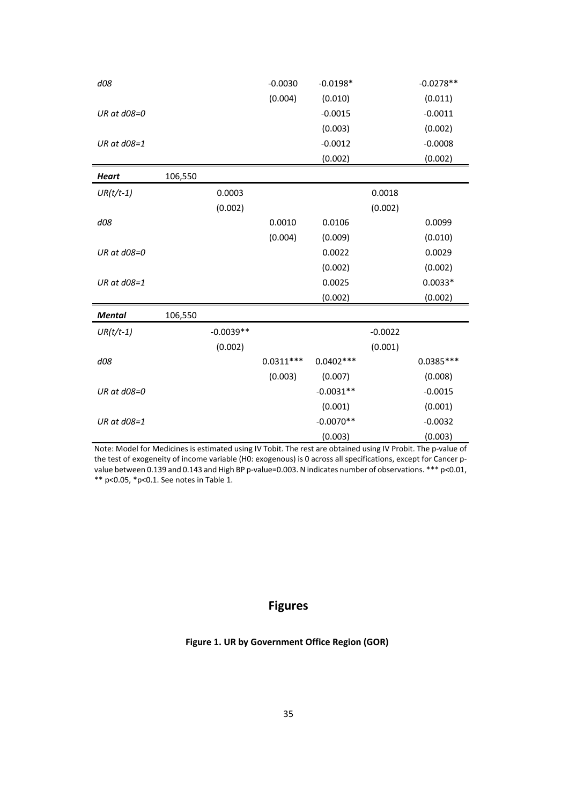| d08           |         |             | $-0.0030$   | $-0.0198*$  |           | $-0.0278**$ |
|---------------|---------|-------------|-------------|-------------|-----------|-------------|
|               |         |             | (0.004)     | (0.010)     |           | (0.011)     |
| UR at d08=0   |         |             |             | $-0.0015$   |           | $-0.0011$   |
|               |         |             |             | (0.003)     |           | (0.002)     |
| UR at d08=1   |         |             |             | $-0.0012$   |           | $-0.0008$   |
|               |         |             |             | (0.002)     |           | (0.002)     |
| <b>Heart</b>  | 106,550 |             |             |             |           |             |
| $UR(t/t-1)$   |         | 0.0003      |             |             | 0.0018    |             |
|               |         | (0.002)     |             |             | (0.002)   |             |
| d08           |         |             | 0.0010      | 0.0106      |           | 0.0099      |
|               |         |             | (0.004)     | (0.009)     |           | (0.010)     |
| UR at d08=0   |         |             |             | 0.0022      |           | 0.0029      |
|               |         |             |             | (0.002)     |           | (0.002)     |
| UR at d08=1   |         |             |             | 0.0025      |           | $0.0033*$   |
|               |         |             |             | (0.002)     |           | (0.002)     |
| <b>Mental</b> | 106,550 |             |             |             |           |             |
| $UR(t/t-1)$   |         | $-0.0039**$ |             |             | $-0.0022$ |             |
|               |         | (0.002)     |             |             | (0.001)   |             |
| d08           |         |             | $0.0311***$ | $0.0402***$ |           | $0.0385***$ |
|               |         |             | (0.003)     | (0.007)     |           | (0.008)     |
| UR at d08=0   |         |             |             | $-0.0031**$ |           | $-0.0015$   |
|               |         |             |             | (0.001)     |           | (0.001)     |
| UR at d08=1   |         |             |             | $-0.0070**$ |           | $-0.0032$   |
|               |         |             |             | (0.003)     |           | (0.003)     |

Note: Model for Medicines is estimated using IV Tobit. The rest are obtained using IV Probit. The p-value of the test of exogeneity of income variable (H0: exogenous) is 0 across all specifications, except for Cancer pvalue between 0.139 and 0.143 and High BP p-value=0.003. N indicates number of observations. \*\*\* p<0.01, \*\* p<0.05, \*p<0.1. See notes in Table 1.

# **Figures**

# **Figure 1. UR by Government Office Region (GOR)**